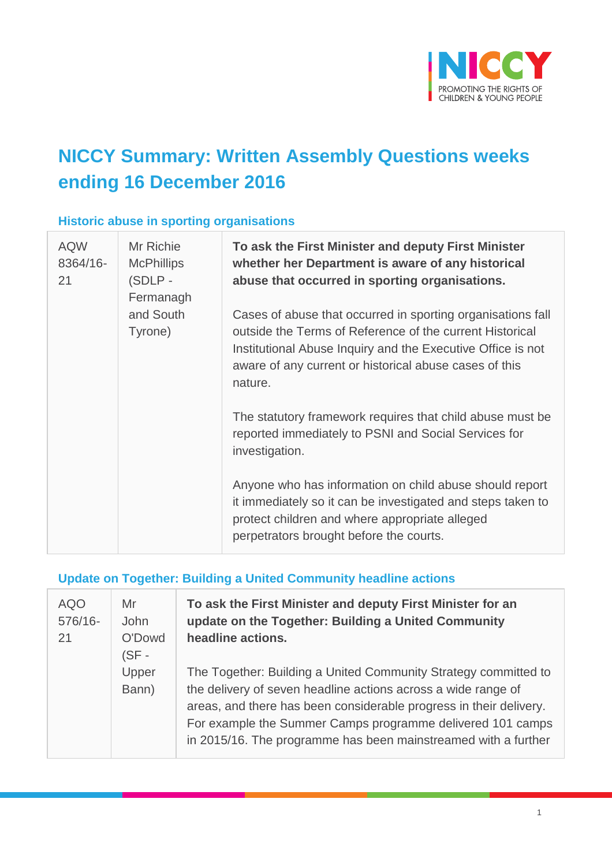

## **NICCY Summary: Written Assembly Questions weeks ending 16 December 2016**

#### **Historic abuse in sporting organisations**

| <b>AQW</b><br>8364/16-<br>21 | Mr Richie<br><b>McPhillips</b><br>(SDLP-<br>Fermanagh | To ask the First Minister and deputy First Minister<br>whether her Department is aware of any historical<br>abuse that occurred in sporting organisations.                                                                                                  |
|------------------------------|-------------------------------------------------------|-------------------------------------------------------------------------------------------------------------------------------------------------------------------------------------------------------------------------------------------------------------|
|                              | and South<br>Tyrone)                                  | Cases of abuse that occurred in sporting organisations fall<br>outside the Terms of Reference of the current Historical<br>Institutional Abuse Inquiry and the Executive Office is not<br>aware of any current or historical abuse cases of this<br>nature. |
|                              |                                                       | The statutory framework requires that child abuse must be<br>reported immediately to PSNI and Social Services for<br>investigation.                                                                                                                         |
|                              |                                                       | Anyone who has information on child abuse should report<br>it immediately so it can be investigated and steps taken to<br>protect children and where appropriate alleged<br>perpetrators brought before the courts.                                         |

### **Update on Together: Building a United Community headline actions**

| <b>AQO</b><br>576/16-<br>21 | Mr<br>John<br>O'Dowd<br>$(SF -$ | To ask the First Minister and deputy First Minister for an<br>update on the Together: Building a United Community<br>headline actions.                                                                                                                                                                                                 |
|-----------------------------|---------------------------------|----------------------------------------------------------------------------------------------------------------------------------------------------------------------------------------------------------------------------------------------------------------------------------------------------------------------------------------|
|                             | Upper<br>Bann)                  | The Together: Building a United Community Strategy committed to<br>the delivery of seven headline actions across a wide range of<br>areas, and there has been considerable progress in their delivery.<br>For example the Summer Camps programme delivered 101 camps<br>in 2015/16. The programme has been mainstreamed with a further |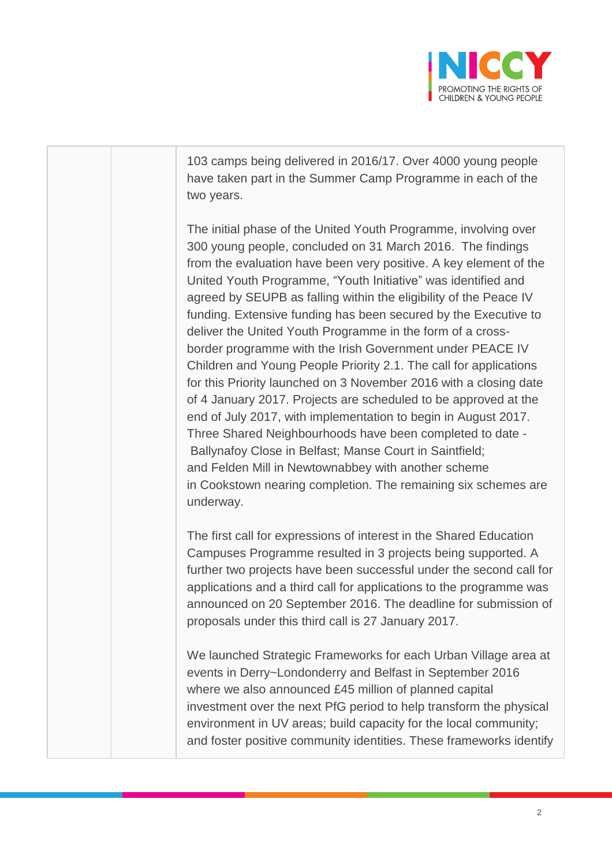

103 camps being delivered in 2016/17. Over 4000 young people have taken part in the Summer Camp Programme in each of the two years. The initial phase of the United Youth Programme, involving over 300 young people, concluded on 31 March 2016. The findings from the evaluation have been very positive. A key element of the United Youth Programme, "Youth Initiative" was identified and agreed by SEUPB as falling within the eligibility of the Peace IV funding. Extensive funding has been secured by the Executive to deliver the United Youth Programme in the form of a crossborder programme with the Irish Government under PEACE IV Children and Young People Priority 2.1. The call for applications for this Priority launched on 3 November 2016 with a closing date of 4 January 2017. Projects are scheduled to be approved at the end of July 2017, with implementation to begin in August 2017. Three Shared Neighbourhoods have been completed to date - Ballynafoy Close in Belfast; Manse Court in Saintfield; and Felden Mill in Newtownabbey with another scheme in Cookstown nearing completion. The remaining six schemes are underway. The first call for expressions of interest in the Shared Education Campuses Programme resulted in 3 projects being supported. A further two projects have been successful under the second call for applications and a third call for applications to the programme was announced on 20 September 2016. The deadline for submission of proposals under this third call is 27 January 2017. We launched Strategic Frameworks for each Urban Village area at events in Derry~Londonderry and Belfast in September 2016 where we also announced £45 million of planned capital investment over the next PfG period to help transform the physical environment in UV areas; build capacity for the local community; and foster positive community identities. These frameworks identify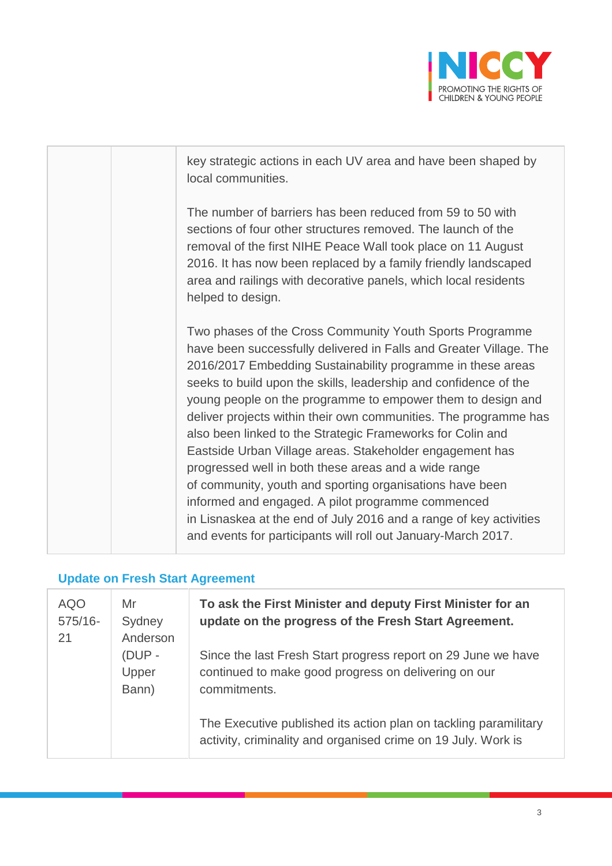

key strategic actions in each UV area and have been shaped by local communities. The number of barriers has been reduced from 59 to 50 with sections of four other structures removed. The launch of the removal of the first NIHE Peace Wall took place on 11 August 2016. It has now been replaced by a family friendly landscaped area and railings with decorative panels, which local residents helped to design.

> Two phases of the Cross Community Youth Sports Programme have been successfully delivered in Falls and Greater Village. The 2016/2017 Embedding Sustainability programme in these areas seeks to build upon the skills, leadership and confidence of the young people on the programme to empower them to design and deliver projects within their own communities. The programme has also been linked to the Strategic Frameworks for Colin and Eastside Urban Village areas. Stakeholder engagement has progressed well in both these areas and a wide range of community, youth and sporting organisations have been informed and engaged. A pilot programme commenced in Lisnaskea at the end of July 2016 and a range of key activities and events for participants will roll out January-March 2017.

#### **Update on Fresh Start Agreement**

| <b>AQO</b><br>$575/16-$<br>21 | Mr<br>Sydney<br>Anderson   | To ask the First Minister and deputy First Minister for an<br>update on the progress of the Fresh Start Agreement.                    |
|-------------------------------|----------------------------|---------------------------------------------------------------------------------------------------------------------------------------|
|                               | $(DUP -$<br>Upper<br>Bann) | Since the last Fresh Start progress report on 29 June we have<br>continued to make good progress on delivering on our<br>commitments. |
|                               |                            | The Executive published its action plan on tackling paramilitary<br>activity, criminality and organised crime on 19 July. Work is     |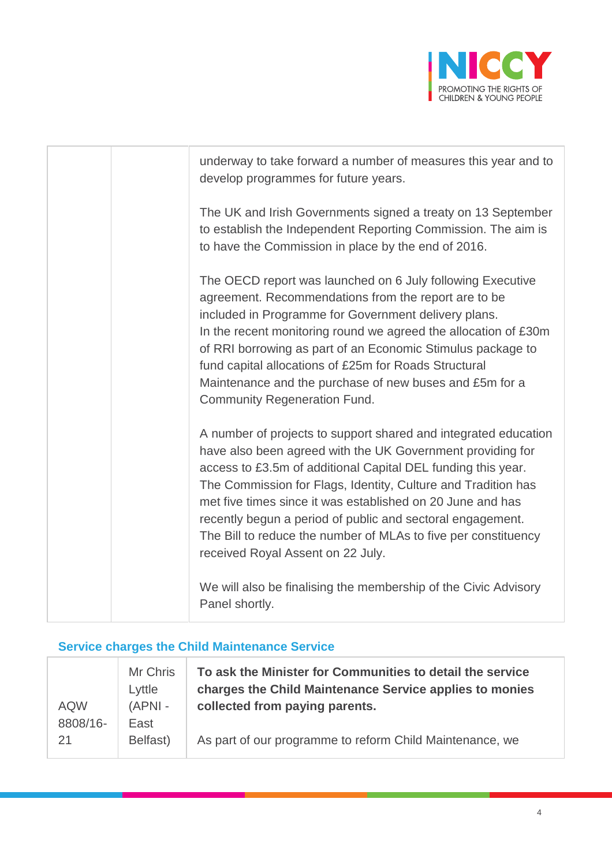

|  | underway to take forward a number of measures this year and to<br>develop programmes for future years.                                                                                                                                                                                                                                                                                                                                                                                            |
|--|---------------------------------------------------------------------------------------------------------------------------------------------------------------------------------------------------------------------------------------------------------------------------------------------------------------------------------------------------------------------------------------------------------------------------------------------------------------------------------------------------|
|  | The UK and Irish Governments signed a treaty on 13 September<br>to establish the Independent Reporting Commission. The aim is<br>to have the Commission in place by the end of 2016.                                                                                                                                                                                                                                                                                                              |
|  | The OECD report was launched on 6 July following Executive<br>agreement. Recommendations from the report are to be<br>included in Programme for Government delivery plans.<br>In the recent monitoring round we agreed the allocation of £30m<br>of RRI borrowing as part of an Economic Stimulus package to<br>fund capital allocations of £25m for Roads Structural<br>Maintenance and the purchase of new buses and £5m for a<br><b>Community Regeneration Fund.</b>                           |
|  | A number of projects to support shared and integrated education<br>have also been agreed with the UK Government providing for<br>access to £3.5m of additional Capital DEL funding this year.<br>The Commission for Flags, Identity, Culture and Tradition has<br>met five times since it was established on 20 June and has<br>recently begun a period of public and sectoral engagement.<br>The Bill to reduce the number of MLAs to five per constituency<br>received Royal Assent on 22 July. |
|  | We will also be finalising the membership of the Civic Advisory<br>Panel shortly.                                                                                                                                                                                                                                                                                                                                                                                                                 |

## **Service charges the Child Maintenance Service**

|            | Mr Chris |  |
|------------|----------|--|
|            | Lyttle   |  |
| <b>AQW</b> | (APNI-   |  |
| 8808/16-   | East     |  |
| 21         | Belfast) |  |
|            |          |  |

**To ask the Minister for Communities to detail the service charges the Child Maintenance Service applies to monies collected from paying parents.**

As part of our programme to reform Child Maintenance, we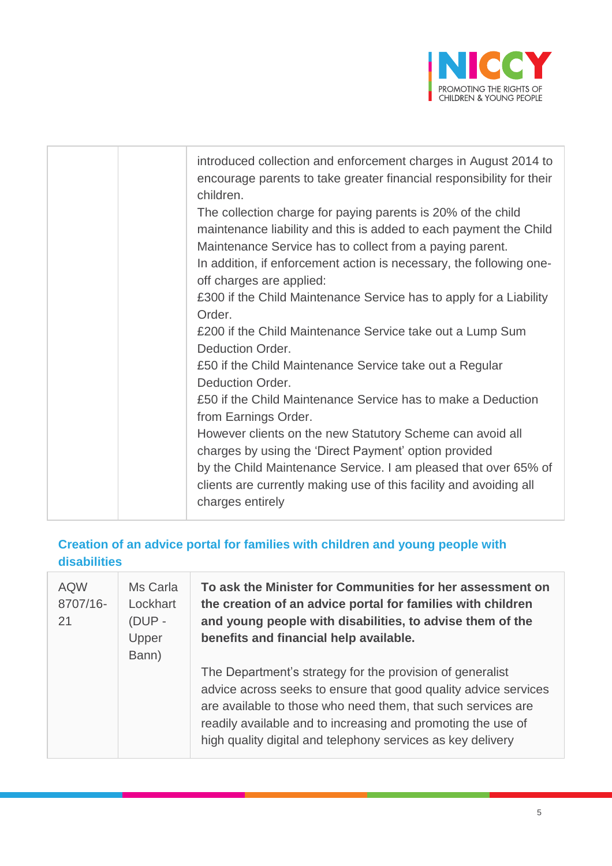

| introduced collection and enforcement charges in August 2014 to<br>encourage parents to take greater financial responsibility for their<br>children.<br>The collection charge for paying parents is 20% of the child<br>maintenance liability and this is added to each payment the Child<br>Maintenance Service has to collect from a paying parent.<br>In addition, if enforcement action is necessary, the following one-<br>off charges are applied:<br>£300 if the Child Maintenance Service has to apply for a Liability |
|--------------------------------------------------------------------------------------------------------------------------------------------------------------------------------------------------------------------------------------------------------------------------------------------------------------------------------------------------------------------------------------------------------------------------------------------------------------------------------------------------------------------------------|
| Order.                                                                                                                                                                                                                                                                                                                                                                                                                                                                                                                         |
| £200 if the Child Maintenance Service take out a Lump Sum<br>Deduction Order.                                                                                                                                                                                                                                                                                                                                                                                                                                                  |
| £50 if the Child Maintenance Service take out a Regular<br><b>Deduction Order.</b>                                                                                                                                                                                                                                                                                                                                                                                                                                             |
| £50 if the Child Maintenance Service has to make a Deduction<br>from Earnings Order.                                                                                                                                                                                                                                                                                                                                                                                                                                           |
| However clients on the new Statutory Scheme can avoid all<br>charges by using the 'Direct Payment' option provided<br>by the Child Maintenance Service. I am pleased that over 65% of<br>clients are currently making use of this facility and avoiding all<br>charges entirely                                                                                                                                                                                                                                                |

### **Creation of an advice portal for families with children and young people with disabilities**

| <b>AQW</b><br>8707/16-<br>21 | Ms Carla<br>Lockhart<br>$(DUP -$<br>Upper<br>Bann) | To ask the Minister for Communities for her assessment on<br>the creation of an advice portal for families with children<br>and young people with disabilities, to advise them of the<br>benefits and financial help available.                                                                                             |
|------------------------------|----------------------------------------------------|-----------------------------------------------------------------------------------------------------------------------------------------------------------------------------------------------------------------------------------------------------------------------------------------------------------------------------|
|                              |                                                    | The Department's strategy for the provision of generalist<br>advice across seeks to ensure that good quality advice services<br>are available to those who need them, that such services are<br>readily available and to increasing and promoting the use of<br>high quality digital and telephony services as key delivery |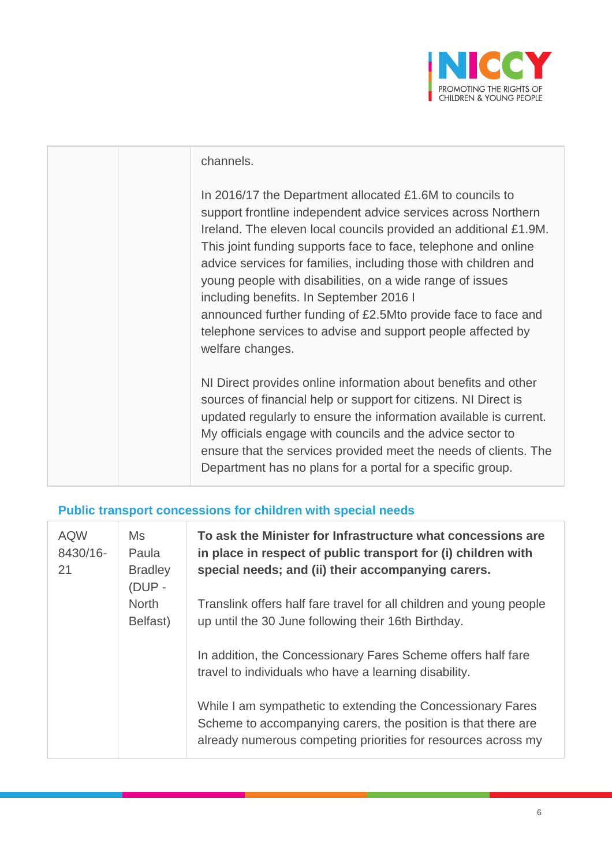

| channels.                                                                                                                                                                                                                                                                                                                                                                                                                                                                                                                                                                                      |
|------------------------------------------------------------------------------------------------------------------------------------------------------------------------------------------------------------------------------------------------------------------------------------------------------------------------------------------------------------------------------------------------------------------------------------------------------------------------------------------------------------------------------------------------------------------------------------------------|
| In 2016/17 the Department allocated £1.6M to councils to<br>support frontline independent advice services across Northern<br>Ireland. The eleven local councils provided an additional £1.9M.<br>This joint funding supports face to face, telephone and online<br>advice services for families, including those with children and<br>young people with disabilities, on a wide range of issues<br>including benefits. In September 2016 I<br>announced further funding of £2.5Mto provide face to face and<br>telephone services to advise and support people affected by<br>welfare changes. |
| NI Direct provides online information about benefits and other<br>sources of financial help or support for citizens. No Direct is<br>updated regularly to ensure the information available is current.<br>My officials engage with councils and the advice sector to<br>ensure that the services provided meet the needs of clients. The<br>Department has no plans for a portal for a specific group.                                                                                                                                                                                         |

## **Public transport concessions for children with special needs**

| <b>AQW</b><br>8430/16-<br>21 | Ms<br>Paula<br><b>Bradley</b><br>(DUP - | To ask the Minister for Infrastructure what concessions are<br>in place in respect of public transport for (i) children with<br>special needs; and (ii) their accompanying carers.            |
|------------------------------|-----------------------------------------|-----------------------------------------------------------------------------------------------------------------------------------------------------------------------------------------------|
|                              | <b>North</b><br>Belfast)                | Translink offers half fare travel for all children and young people<br>up until the 30 June following their 16th Birthday.                                                                    |
|                              |                                         | In addition, the Concessionary Fares Scheme offers half fare<br>travel to individuals who have a learning disability.                                                                         |
|                              |                                         | While I am sympathetic to extending the Concessionary Fares<br>Scheme to accompanying carers, the position is that there are<br>already numerous competing priorities for resources across my |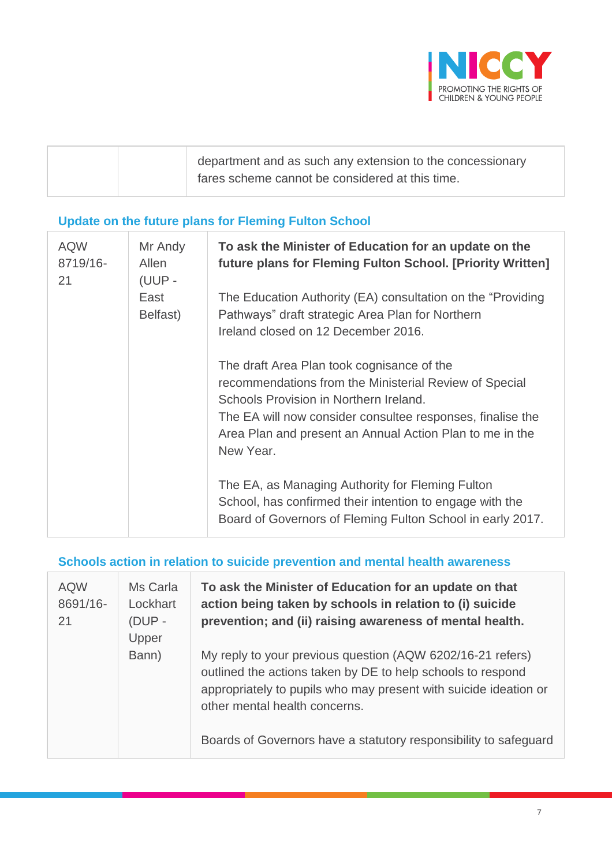

| department and as such any extension to the concessionary |
|-----------------------------------------------------------|
| fares scheme cannot be considered at this time.           |

## **Update on the future plans for Fleming Fulton School**

| <b>AQW</b><br>8719/16-<br>21 | Mr Andy<br>Allen<br>(UUP - | To ask the Minister of Education for an update on the<br>future plans for Fleming Fulton School. [Priority Written]                                                                                                                                                                   |
|------------------------------|----------------------------|---------------------------------------------------------------------------------------------------------------------------------------------------------------------------------------------------------------------------------------------------------------------------------------|
|                              | East<br>Belfast)           | The Education Authority (EA) consultation on the "Providing"<br>Pathways" draft strategic Area Plan for Northern<br>Ireland closed on 12 December 2016.                                                                                                                               |
|                              |                            | The draft Area Plan took cognisance of the<br>recommendations from the Ministerial Review of Special<br>Schools Provision in Northern Ireland.<br>The EA will now consider consultee responses, finalise the<br>Area Plan and present an Annual Action Plan to me in the<br>New Year. |
|                              |                            | The EA, as Managing Authority for Fleming Fulton<br>School, has confirmed their intention to engage with the<br>Board of Governors of Fleming Fulton School in early 2017.                                                                                                            |

### **Schools action in relation to suicide prevention and mental health awareness**

| <b>AQW</b><br>8691/16-<br>21 | Ms Carla<br>Lockhart<br>(DUP -<br>Upper | To ask the Minister of Education for an update on that<br>action being taken by schools in relation to (i) suicide<br>prevention; and (ii) raising awareness of mental health.                                                 |
|------------------------------|-----------------------------------------|--------------------------------------------------------------------------------------------------------------------------------------------------------------------------------------------------------------------------------|
|                              | Bann)                                   | My reply to your previous question (AQW 6202/16-21 refers)<br>outlined the actions taken by DE to help schools to respond<br>appropriately to pupils who may present with suicide ideation or<br>other mental health concerns. |
|                              |                                         | Boards of Governors have a statutory responsibility to safeguard                                                                                                                                                               |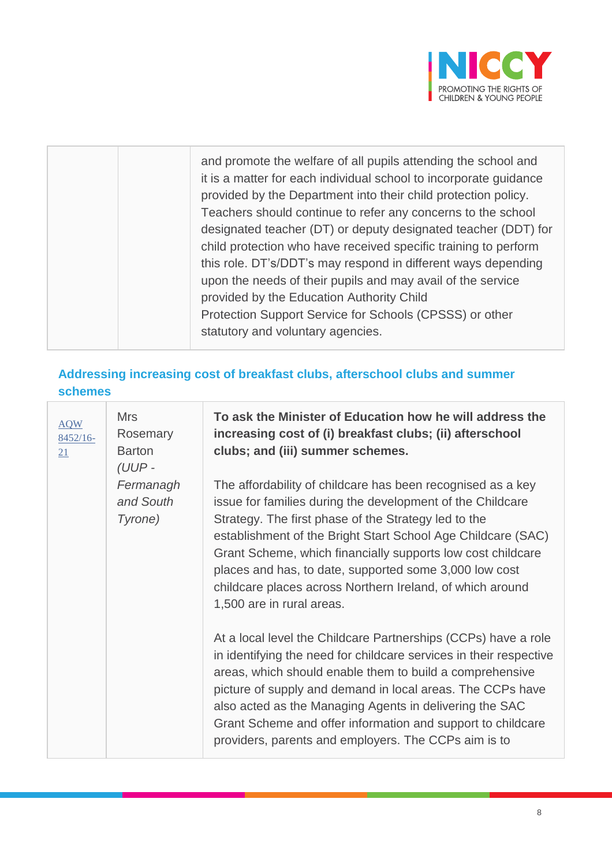

### **Addressing increasing cost of breakfast clubs, afterschool clubs and summer schemes**

| <b>AQW</b><br>$8452/16-$<br>21 | <b>Mrs</b><br>Rosemary<br><b>Barton</b><br>(UUP- | To ask the Minister of Education how he will address the<br>increasing cost of (i) breakfast clubs; (ii) afterschool<br>clubs; and (iii) summer schemes.                                                                                                                                                                                                                                                                                                             |
|--------------------------------|--------------------------------------------------|----------------------------------------------------------------------------------------------------------------------------------------------------------------------------------------------------------------------------------------------------------------------------------------------------------------------------------------------------------------------------------------------------------------------------------------------------------------------|
|                                | Fermanagh<br>and South<br>Tyrone)                | The affordability of childcare has been recognised as a key<br>issue for families during the development of the Childcare<br>Strategy. The first phase of the Strategy led to the<br>establishment of the Bright Start School Age Childcare (SAC)<br>Grant Scheme, which financially supports low cost childcare<br>places and has, to date, supported some 3,000 low cost<br>childcare places across Northern Ireland, of which around<br>1,500 are in rural areas. |
|                                |                                                  | At a local level the Childcare Partnerships (CCPs) have a role<br>in identifying the need for childcare services in their respective<br>areas, which should enable them to build a comprehensive<br>picture of supply and demand in local areas. The CCPs have<br>also acted as the Managing Agents in delivering the SAC<br>Grant Scheme and offer information and support to childcare<br>providers, parents and employers. The CCPs aim is to                     |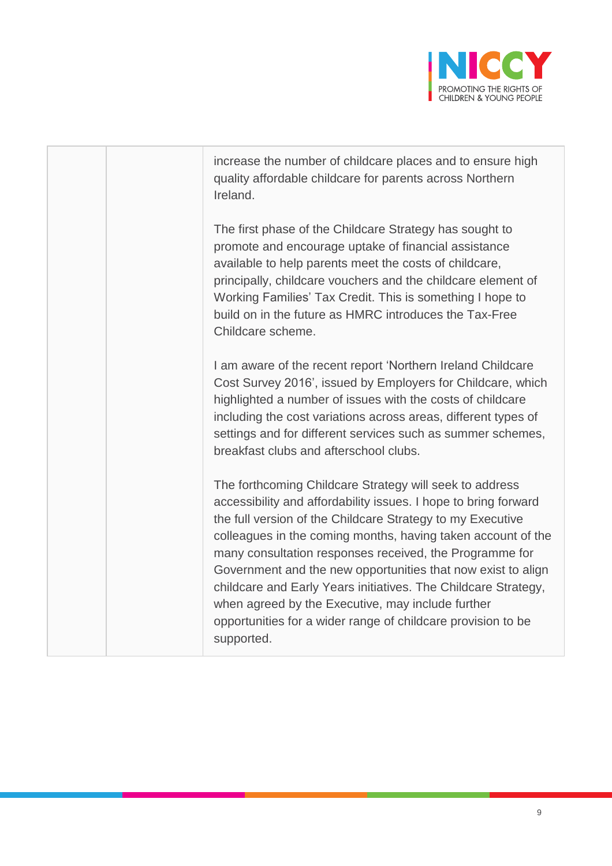

increase the number of childcare places and to ensure high quality affordable childcare for parents across Northern Ireland.

The first phase of the Childcare Strategy has sought to promote and encourage uptake of financial assistance available to help parents meet the costs of childcare, principally, childcare vouchers and the childcare element of Working Families' Tax Credit. This is something I hope to build on in the future as HMRC introduces the Tax-Free Childcare scheme.

I am aware of the recent report 'Northern Ireland Childcare Cost Survey 2016', issued by Employers for Childcare, which highlighted a number of issues with the costs of childcare including the cost variations across areas, different types of settings and for different services such as summer schemes, breakfast clubs and afterschool clubs.

The forthcoming Childcare Strategy will seek to address accessibility and affordability issues. I hope to bring forward the full version of the Childcare Strategy to my Executive colleagues in the coming months, having taken account of the many consultation responses received, the Programme for Government and the new opportunities that now exist to align childcare and Early Years initiatives. The Childcare Strategy, when agreed by the Executive, may include further opportunities for a wider range of childcare provision to be supported.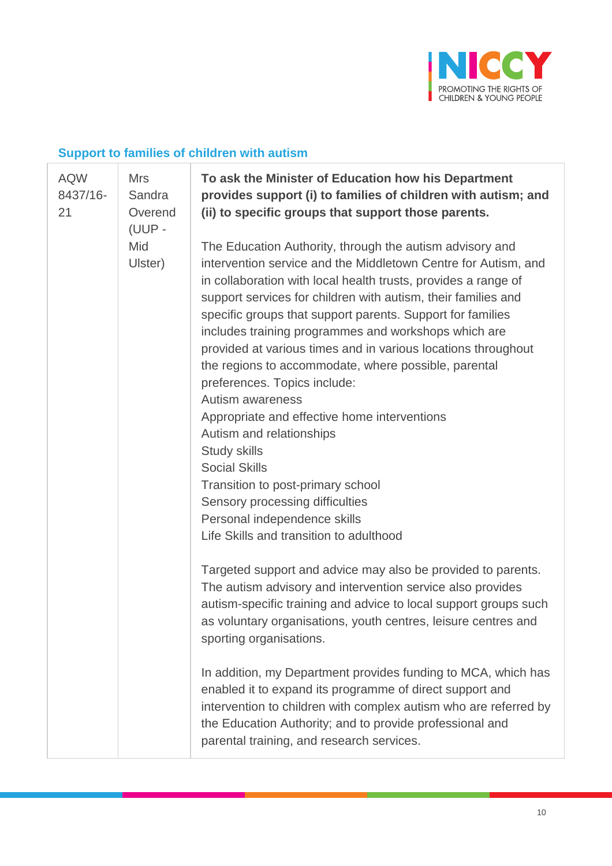

## **Support to families of children with autism**

| <b>AQW</b><br>8437/16-<br>21 | <b>Mrs</b><br>Sandra<br>Overend<br>(UUP- | To ask the Minister of Education how his Department<br>provides support (i) to families of children with autism; and<br>(ii) to specific groups that support those parents.                                                                                                                                                                                                                                                                                                                                                                                                                                                                                                                                                                                                                                                                    |
|------------------------------|------------------------------------------|------------------------------------------------------------------------------------------------------------------------------------------------------------------------------------------------------------------------------------------------------------------------------------------------------------------------------------------------------------------------------------------------------------------------------------------------------------------------------------------------------------------------------------------------------------------------------------------------------------------------------------------------------------------------------------------------------------------------------------------------------------------------------------------------------------------------------------------------|
|                              | Mid<br>Ulster)                           | The Education Authority, through the autism advisory and<br>intervention service and the Middletown Centre for Autism, and<br>in collaboration with local health trusts, provides a range of<br>support services for children with autism, their families and<br>specific groups that support parents. Support for families<br>includes training programmes and workshops which are<br>provided at various times and in various locations throughout<br>the regions to accommodate, where possible, parental<br>preferences. Topics include:<br>Autism awareness<br>Appropriate and effective home interventions<br>Autism and relationships<br><b>Study skills</b><br><b>Social Skills</b><br>Transition to post-primary school<br>Sensory processing difficulties<br>Personal independence skills<br>Life Skills and transition to adulthood |
|                              |                                          | Targeted support and advice may also be provided to parents.<br>The autism advisory and intervention service also provides<br>autism-specific training and advice to local support groups such<br>as voluntary organisations, youth centres, leisure centres and<br>sporting organisations.                                                                                                                                                                                                                                                                                                                                                                                                                                                                                                                                                    |
|                              |                                          | In addition, my Department provides funding to MCA, which has<br>enabled it to expand its programme of direct support and<br>intervention to children with complex autism who are referred by<br>the Education Authority; and to provide professional and<br>parental training, and research services.                                                                                                                                                                                                                                                                                                                                                                                                                                                                                                                                         |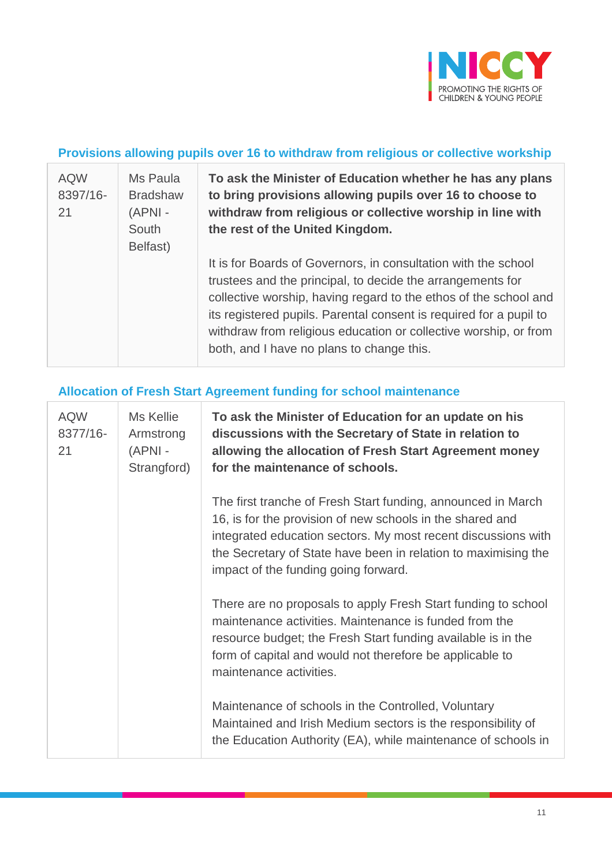

### **Provisions allowing pupils over 16 to withdraw from religious or collective workship**

| <b>AQW</b><br>8397/16-<br>21 | Ms Paula<br><b>Bradshaw</b><br>(APNI -<br>South<br>Belfast) | To ask the Minister of Education whether he has any plans<br>to bring provisions allowing pupils over 16 to choose to<br>withdraw from religious or collective worship in line with<br>the rest of the United Kingdom.                                                                                                                                                                  |
|------------------------------|-------------------------------------------------------------|-----------------------------------------------------------------------------------------------------------------------------------------------------------------------------------------------------------------------------------------------------------------------------------------------------------------------------------------------------------------------------------------|
|                              |                                                             | It is for Boards of Governors, in consultation with the school<br>trustees and the principal, to decide the arrangements for<br>collective worship, having regard to the ethos of the school and<br>its registered pupils. Parental consent is required for a pupil to<br>withdraw from religious education or collective worship, or from<br>both, and I have no plans to change this. |

## **Allocation of Fresh Start Agreement funding for school maintenance**

| <b>AQW</b><br>8377/16-<br>21 | Ms Kellie<br>Armstrong<br>(APNI -<br>Strangford) | To ask the Minister of Education for an update on his<br>discussions with the Secretary of State in relation to<br>allowing the allocation of Fresh Start Agreement money<br>for the maintenance of schools.                                                                                         |
|------------------------------|--------------------------------------------------|------------------------------------------------------------------------------------------------------------------------------------------------------------------------------------------------------------------------------------------------------------------------------------------------------|
|                              |                                                  | The first tranche of Fresh Start funding, announced in March<br>16, is for the provision of new schools in the shared and<br>integrated education sectors. My most recent discussions with<br>the Secretary of State have been in relation to maximising the<br>impact of the funding going forward. |
|                              |                                                  | There are no proposals to apply Fresh Start funding to school<br>maintenance activities. Maintenance is funded from the<br>resource budget; the Fresh Start funding available is in the<br>form of capital and would not therefore be applicable to<br>maintenance activities.                       |
|                              |                                                  | Maintenance of schools in the Controlled, Voluntary<br>Maintained and Irish Medium sectors is the responsibility of<br>the Education Authority (EA), while maintenance of schools in                                                                                                                 |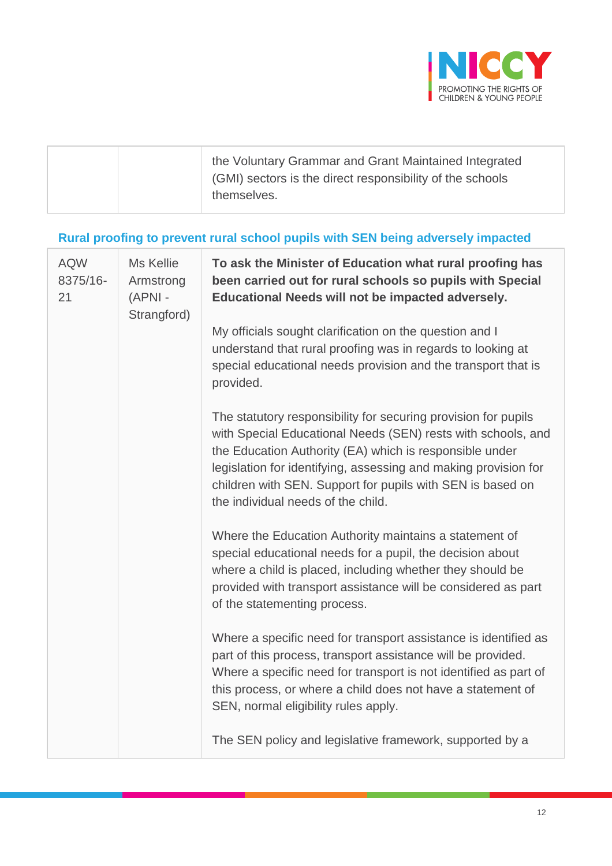

| themselves. |
|-------------|
|             |

## **Rural proofing to prevent rural school pupils with SEN being adversely impacted**

| <b>AQW</b><br>8375/16-<br>21 | Ms Kellie<br>Armstrong<br>(APNI-<br>Strangford) | To ask the Minister of Education what rural proofing has<br>been carried out for rural schools so pupils with Special<br><b>Educational Needs will not be impacted adversely.</b><br>My officials sought clarification on the question and I                                                                                                                     |
|------------------------------|-------------------------------------------------|------------------------------------------------------------------------------------------------------------------------------------------------------------------------------------------------------------------------------------------------------------------------------------------------------------------------------------------------------------------|
|                              |                                                 | understand that rural proofing was in regards to looking at<br>special educational needs provision and the transport that is<br>provided.                                                                                                                                                                                                                        |
|                              |                                                 | The statutory responsibility for securing provision for pupils<br>with Special Educational Needs (SEN) rests with schools, and<br>the Education Authority (EA) which is responsible under<br>legislation for identifying, assessing and making provision for<br>children with SEN. Support for pupils with SEN is based on<br>the individual needs of the child. |
|                              |                                                 | Where the Education Authority maintains a statement of<br>special educational needs for a pupil, the decision about<br>where a child is placed, including whether they should be<br>provided with transport assistance will be considered as part<br>of the statementing process.                                                                                |
|                              |                                                 | Where a specific need for transport assistance is identified as<br>part of this process, transport assistance will be provided.<br>Where a specific need for transport is not identified as part of<br>this process, or where a child does not have a statement of<br>SEN, normal eligibility rules apply.                                                       |
|                              |                                                 | The SEN policy and legislative framework, supported by a                                                                                                                                                                                                                                                                                                         |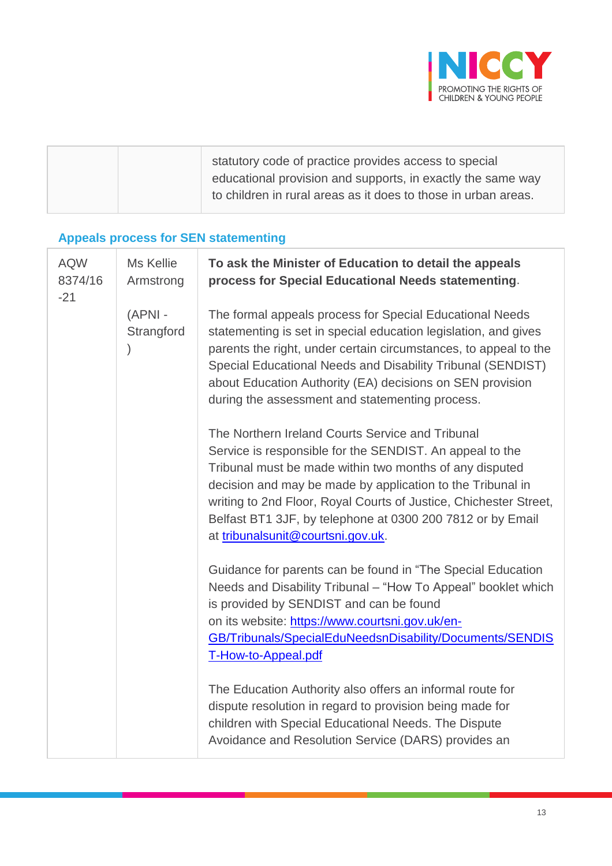

|  | statutory code of practice provides access to special<br>educational provision and supports, in exactly the same way<br>to children in rural areas as it does to those in urban areas. |
|--|----------------------------------------------------------------------------------------------------------------------------------------------------------------------------------------|
|--|----------------------------------------------------------------------------------------------------------------------------------------------------------------------------------------|

## **Appeals process for SEN statementing**

| <b>AQW</b><br>8374/16<br>$-21$ | Ms Kellie<br>Armstrong | To ask the Minister of Education to detail the appeals<br>process for Special Educational Needs statementing.                                                                                                                                                                                                                                                                                                 |
|--------------------------------|------------------------|---------------------------------------------------------------------------------------------------------------------------------------------------------------------------------------------------------------------------------------------------------------------------------------------------------------------------------------------------------------------------------------------------------------|
|                                | (APNI -<br>Strangford  | The formal appeals process for Special Educational Needs<br>statementing is set in special education legislation, and gives<br>parents the right, under certain circumstances, to appeal to the<br>Special Educational Needs and Disability Tribunal (SENDIST)<br>about Education Authority (EA) decisions on SEN provision<br>during the assessment and statementing process.                                |
|                                |                        | The Northern Ireland Courts Service and Tribunal<br>Service is responsible for the SENDIST. An appeal to the<br>Tribunal must be made within two months of any disputed<br>decision and may be made by application to the Tribunal in<br>writing to 2nd Floor, Royal Courts of Justice, Chichester Street,<br>Belfast BT1 3JF, by telephone at 0300 200 7812 or by Email<br>at tribunalsunit@courtsni.gov.uk. |
|                                |                        | Guidance for parents can be found in "The Special Education"<br>Needs and Disability Tribunal - "How To Appeal" booklet which<br>is provided by SENDIST and can be found<br>on its website: https://www.courtsni.gov.uk/en-<br>GB/Tribunals/SpecialEduNeedsnDisability/Documents/SENDIS<br>T-How-to-Appeal.pdf                                                                                                |
|                                |                        | The Education Authority also offers an informal route for<br>dispute resolution in regard to provision being made for<br>children with Special Educational Needs. The Dispute<br>Avoidance and Resolution Service (DARS) provides an                                                                                                                                                                          |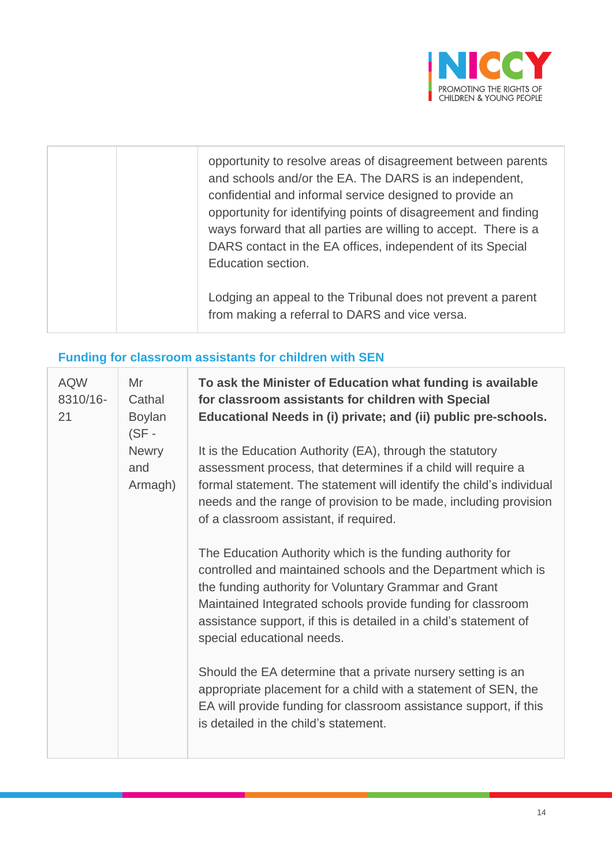

| opportunity to resolve areas of disagreement between parents<br>and schools and/or the EA. The DARS is an independent,<br>confidential and informal service designed to provide an<br>opportunity for identifying points of disagreement and finding<br>ways forward that all parties are willing to accept. There is a<br>DARS contact in the EA offices, independent of its Special<br>Education section. |
|-------------------------------------------------------------------------------------------------------------------------------------------------------------------------------------------------------------------------------------------------------------------------------------------------------------------------------------------------------------------------------------------------------------|
| Lodging an appeal to the Tribunal does not prevent a parent<br>from making a referral to DARS and vice versa.                                                                                                                                                                                                                                                                                               |

## **Funding for classroom assistants for children with SEN**

| <b>AQW</b><br>8310/16-<br>21 | Mr<br>Cathal<br><b>Boylan</b><br>$(SF -$<br><b>Newry</b> | To ask the Minister of Education what funding is available<br>for classroom assistants for children with Special<br>Educational Needs in (i) private; and (ii) public pre-schools.<br>It is the Education Authority (EA), through the statutory                                                                                                        |
|------------------------------|----------------------------------------------------------|--------------------------------------------------------------------------------------------------------------------------------------------------------------------------------------------------------------------------------------------------------------------------------------------------------------------------------------------------------|
|                              | and<br>Armagh)                                           | assessment process, that determines if a child will require a<br>formal statement. The statement will identify the child's individual<br>needs and the range of provision to be made, including provision<br>of a classroom assistant, if required.                                                                                                    |
|                              |                                                          | The Education Authority which is the funding authority for<br>controlled and maintained schools and the Department which is<br>the funding authority for Voluntary Grammar and Grant<br>Maintained Integrated schools provide funding for classroom<br>assistance support, if this is detailed in a child's statement of<br>special educational needs. |
|                              |                                                          | Should the EA determine that a private nursery setting is an<br>appropriate placement for a child with a statement of SEN, the<br>EA will provide funding for classroom assistance support, if this<br>is detailed in the child's statement.                                                                                                           |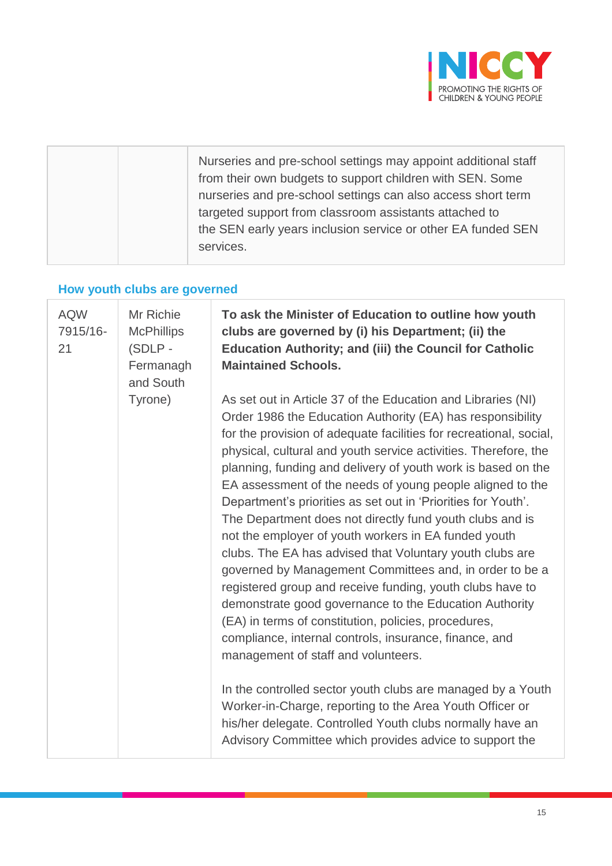

| Nurseries and pre-school settings may appoint additional staff<br>from their own budgets to support children with SEN. Some<br>nurseries and pre-school settings can also access short term<br>targeted support from classroom assistants attached to<br>the SEN early years inclusion service or other EA funded SEN |
|-----------------------------------------------------------------------------------------------------------------------------------------------------------------------------------------------------------------------------------------------------------------------------------------------------------------------|
| services.                                                                                                                                                                                                                                                                                                             |

## **How youth clubs are governed**

 $\overline{1}$ 

| <b>AQW</b><br>7915/16-<br>21 | Mr Richie<br><b>McPhillips</b><br>(SDLP-<br>Fermanagh<br>and South | To ask the Minister of Education to outline how youth<br>clubs are governed by (i) his Department; (ii) the<br><b>Education Authority; and (iii) the Council for Catholic</b><br><b>Maintained Schools.</b>                                                                                                                                                                                                                                                                                                                                                                                                                                                                                                                                                                                                                                                                                                                                                                                                                                                                                                                                                                                                                                     |
|------------------------------|--------------------------------------------------------------------|-------------------------------------------------------------------------------------------------------------------------------------------------------------------------------------------------------------------------------------------------------------------------------------------------------------------------------------------------------------------------------------------------------------------------------------------------------------------------------------------------------------------------------------------------------------------------------------------------------------------------------------------------------------------------------------------------------------------------------------------------------------------------------------------------------------------------------------------------------------------------------------------------------------------------------------------------------------------------------------------------------------------------------------------------------------------------------------------------------------------------------------------------------------------------------------------------------------------------------------------------|
|                              | Tyrone)                                                            | As set out in Article 37 of the Education and Libraries (NI)<br>Order 1986 the Education Authority (EA) has responsibility<br>for the provision of adequate facilities for recreational, social,<br>physical, cultural and youth service activities. Therefore, the<br>planning, funding and delivery of youth work is based on the<br>EA assessment of the needs of young people aligned to the<br>Department's priorities as set out in 'Priorities for Youth'.<br>The Department does not directly fund youth clubs and is<br>not the employer of youth workers in EA funded youth<br>clubs. The EA has advised that Voluntary youth clubs are<br>governed by Management Committees and, in order to be a<br>registered group and receive funding, youth clubs have to<br>demonstrate good governance to the Education Authority<br>(EA) in terms of constitution, policies, procedures,<br>compliance, internal controls, insurance, finance, and<br>management of staff and volunteers.<br>In the controlled sector youth clubs are managed by a Youth<br>Worker-in-Charge, reporting to the Area Youth Officer or<br>his/her delegate. Controlled Youth clubs normally have an<br>Advisory Committee which provides advice to support the |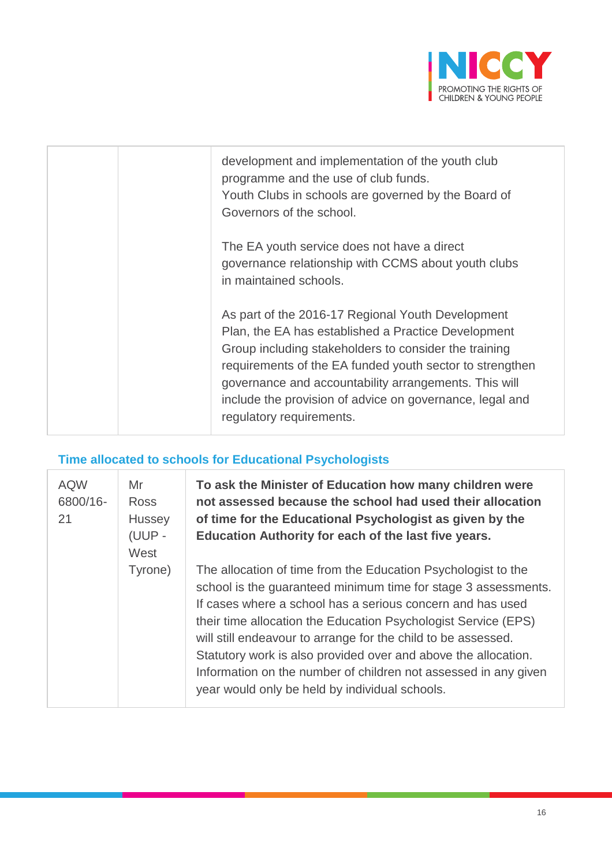

| development and implementation of the youth club<br>programme and the use of club funds.<br>Youth Clubs in schools are governed by the Board of<br>Governors of the school.                                                                                                                                                                                                    |
|--------------------------------------------------------------------------------------------------------------------------------------------------------------------------------------------------------------------------------------------------------------------------------------------------------------------------------------------------------------------------------|
| The EA youth service does not have a direct<br>governance relationship with CCMS about youth clubs<br>in maintained schools.                                                                                                                                                                                                                                                   |
| As part of the 2016-17 Regional Youth Development<br>Plan, the EA has established a Practice Development<br>Group including stakeholders to consider the training<br>requirements of the EA funded youth sector to strengthen<br>governance and accountability arrangements. This will<br>include the provision of advice on governance, legal and<br>regulatory requirements. |

## **Time allocated to schools for Educational Psychologists**

| <b>AQW</b><br>6800/16- | Mr<br><b>Ross</b> | To ask the Minister of Education how many children were<br>not assessed because the school had used their allocation |
|------------------------|-------------------|----------------------------------------------------------------------------------------------------------------------|
| 21                     | Hussey            | of time for the Educational Psychologist as given by the                                                             |
|                        |                   |                                                                                                                      |
|                        | (UUP -            | Education Authority for each of the last five years.                                                                 |
|                        | West              |                                                                                                                      |
|                        | Tyrone)           | The allocation of time from the Education Psychologist to the                                                        |
|                        |                   | school is the guaranteed minimum time for stage 3 assessments.                                                       |
|                        |                   | If cases where a school has a serious concern and has used                                                           |
|                        |                   | their time allocation the Education Psychologist Service (EPS)                                                       |
|                        |                   | will still endeavour to arrange for the child to be assessed.                                                        |
|                        |                   |                                                                                                                      |
|                        |                   | Statutory work is also provided over and above the allocation.                                                       |
|                        |                   | Information on the number of children not assessed in any given                                                      |
|                        |                   | year would only be held by individual schools.                                                                       |
|                        |                   |                                                                                                                      |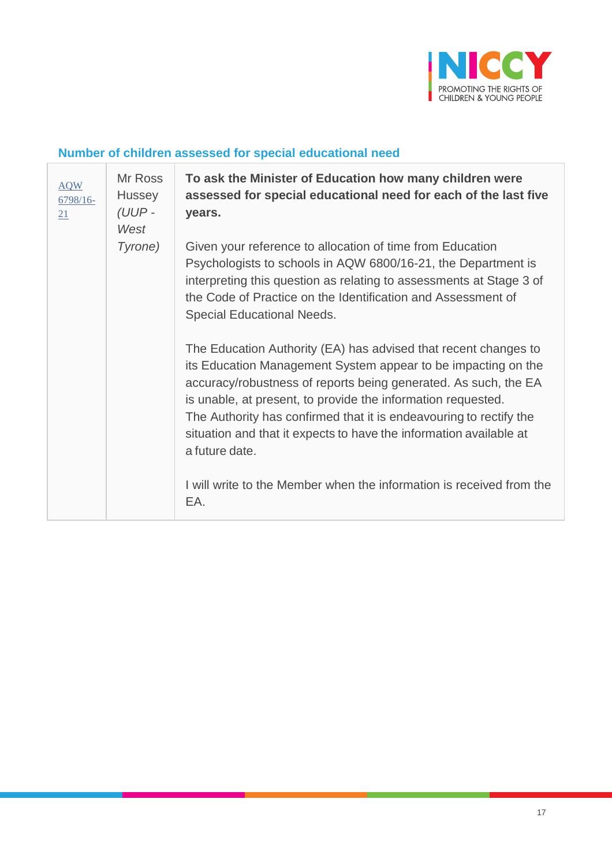

## **Number of children assessed for special educational need**

| <b>AQW</b><br>6798/16-<br>21 | Mr Ross<br><b>Hussey</b><br>$(UUP -$<br>West | To ask the Minister of Education how many children were<br>assessed for special educational need for each of the last five<br>years.                                                                                                                                                                                                                                                                                              |
|------------------------------|----------------------------------------------|-----------------------------------------------------------------------------------------------------------------------------------------------------------------------------------------------------------------------------------------------------------------------------------------------------------------------------------------------------------------------------------------------------------------------------------|
|                              | Tyrone)                                      | Given your reference to allocation of time from Education<br>Psychologists to schools in AQW 6800/16-21, the Department is<br>interpreting this question as relating to assessments at Stage 3 of<br>the Code of Practice on the Identification and Assessment of<br><b>Special Educational Needs.</b>                                                                                                                            |
|                              |                                              | The Education Authority (EA) has advised that recent changes to<br>its Education Management System appear to be impacting on the<br>accuracy/robustness of reports being generated. As such, the EA<br>is unable, at present, to provide the information requested.<br>The Authority has confirmed that it is endeavouring to rectify the<br>situation and that it expects to have the information available at<br>a future date. |
|                              |                                              | I will write to the Member when the information is received from the<br>EA.                                                                                                                                                                                                                                                                                                                                                       |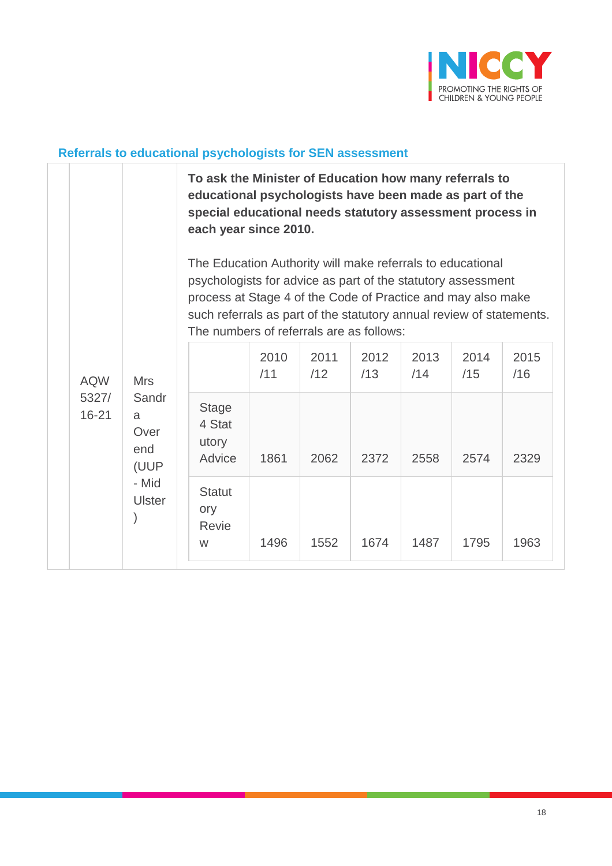

#### **Referrals to educational psychologists for SEN assessment**

**To ask the Minister of Education how many referrals to educational psychologists have been made as part of the special educational needs statutory assessment process in each year since 2010.**

The Education Authority will make referrals to educational psychologists for advice as part of the statutory assessment process at Stage 4 of the Code of Practice and may also make such referrals as part of the statutory annual review of statements. The numbers of referrals are as follows:

| <b>AQW</b>         | <b>Mrs</b><br>Sandr<br>a<br>Over<br>end<br>(UUP |                                           | 2010<br>/11 | 2011<br>/12 | 2012<br>/13 | 2013<br>/14 | 2014<br>/15 | 2015<br>/16 |
|--------------------|-------------------------------------------------|-------------------------------------------|-------------|-------------|-------------|-------------|-------------|-------------|
| 5327/<br>$16 - 21$ |                                                 | <b>Stage</b><br>4 Stat<br>utory<br>Advice | 1861        | 2062        | 2372        | 2558        | 2574        | 2329        |
|                    | - Mid<br><b>Ulster</b>                          | <b>Statut</b><br>ory<br>Revie<br>W        | 1496        | 1552        | 1674        | 1487        | 1795        | 1963        |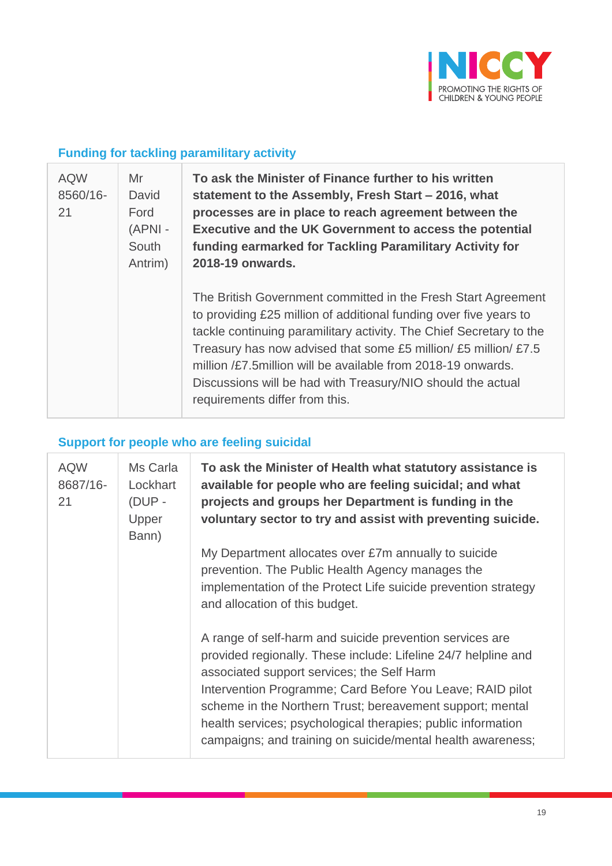

## **Funding for tackling paramilitary activity**

| <b>AQW</b><br>8560/16-<br>21 | Mr<br>David<br>Ford<br>$(APNI -$<br>South<br>Antrim) | To ask the Minister of Finance further to his written<br>statement to the Assembly, Fresh Start - 2016, what<br>processes are in place to reach agreement between the<br><b>Executive and the UK Government to access the potential</b><br>funding earmarked for Tackling Paramilitary Activity for<br>2018-19 onwards.                                                                                                                        |  |  |  |
|------------------------------|------------------------------------------------------|------------------------------------------------------------------------------------------------------------------------------------------------------------------------------------------------------------------------------------------------------------------------------------------------------------------------------------------------------------------------------------------------------------------------------------------------|--|--|--|
|                              |                                                      | The British Government committed in the Fresh Start Agreement<br>to providing £25 million of additional funding over five years to<br>tackle continuing paramilitary activity. The Chief Secretary to the<br>Treasury has now advised that some £5 million/ £5 million/ £7.5<br>million /£7.5 million will be available from 2018-19 onwards.<br>Discussions will be had with Treasury/NIO should the actual<br>requirements differ from this. |  |  |  |

### **Support for people who are feeling suicidal**

| <b>AQW</b><br>8687/16-<br>21 | Ms Carla<br>Lockhart<br>(DUP -<br>Upper<br>Bann) | To ask the Minister of Health what statutory assistance is<br>available for people who are feeling suicidal; and what<br>projects and groups her Department is funding in the<br>voluntary sector to try and assist with preventing suicide.<br>My Department allocates over £7m annually to suicide<br>prevention. The Public Health Agency manages the<br>implementation of the Protect Life suicide prevention strategy<br>and allocation of this budget. |
|------------------------------|--------------------------------------------------|--------------------------------------------------------------------------------------------------------------------------------------------------------------------------------------------------------------------------------------------------------------------------------------------------------------------------------------------------------------------------------------------------------------------------------------------------------------|
|                              |                                                  | A range of self-harm and suicide prevention services are<br>provided regionally. These include: Lifeline 24/7 helpline and<br>associated support services; the Self Harm<br>Intervention Programme; Card Before You Leave; RAID pilot<br>scheme in the Northern Trust; bereavement support; mental<br>health services; psychological therapies; public information<br>campaigns; and training on suicide/mental health awareness;                            |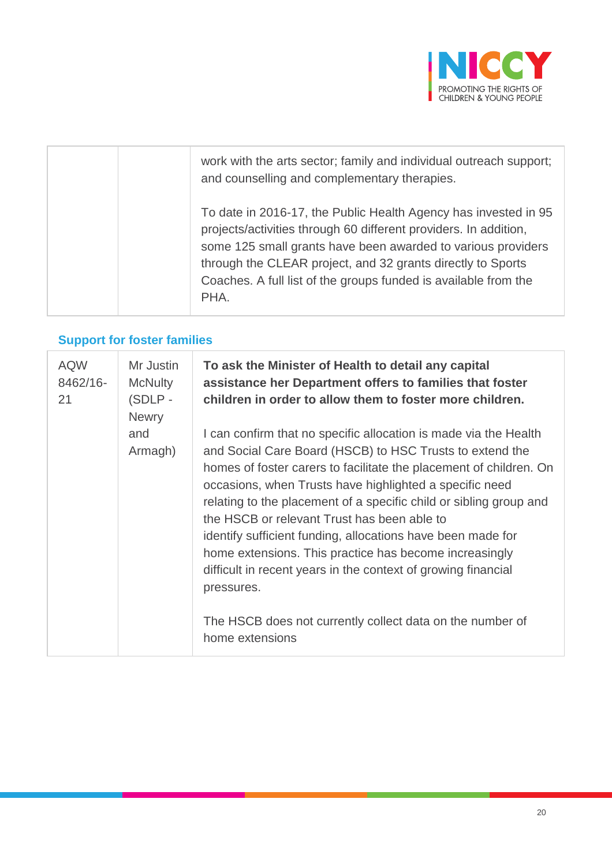

| work with the arts sector; family and individual outreach support;<br>and counselling and complementary therapies.                                                                                                                                                                                                                            |
|-----------------------------------------------------------------------------------------------------------------------------------------------------------------------------------------------------------------------------------------------------------------------------------------------------------------------------------------------|
| To date in 2016-17, the Public Health Agency has invested in 95<br>projects/activities through 60 different providers. In addition,<br>some 125 small grants have been awarded to various providers<br>through the CLEAR project, and 32 grants directly to Sports<br>Coaches. A full list of the groups funded is available from the<br>PHA. |

## **Support for foster families**

| <b>AQW</b><br>8462/16-<br>21 | Mr Justin<br><b>McNulty</b><br>(SDLP-<br><b>Newry</b> | To ask the Minister of Health to detail any capital<br>assistance her Department offers to families that foster<br>children in order to allow them to foster more children.                                                                                                                                                                                                                                                                                                                                                                                                                                                                                                |  |
|------------------------------|-------------------------------------------------------|----------------------------------------------------------------------------------------------------------------------------------------------------------------------------------------------------------------------------------------------------------------------------------------------------------------------------------------------------------------------------------------------------------------------------------------------------------------------------------------------------------------------------------------------------------------------------------------------------------------------------------------------------------------------------|--|
|                              | and<br>Armagh)                                        | I can confirm that no specific allocation is made via the Health<br>and Social Care Board (HSCB) to HSC Trusts to extend the<br>homes of foster carers to facilitate the placement of children. On<br>occasions, when Trusts have highlighted a specific need<br>relating to the placement of a specific child or sibling group and<br>the HSCB or relevant Trust has been able to<br>identify sufficient funding, allocations have been made for<br>home extensions. This practice has become increasingly<br>difficult in recent years in the context of growing financial<br>pressures.<br>The HSCB does not currently collect data on the number of<br>home extensions |  |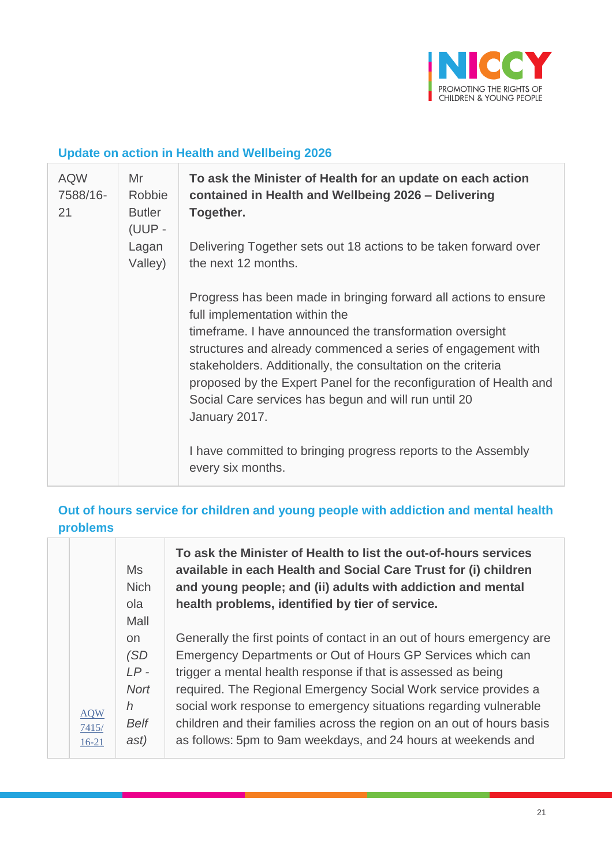

### **Update on action in Health and Wellbeing 2026**

| <b>AQW</b><br>Mr<br>7588/16-<br>Robbie<br>21<br><b>Butler</b><br>(UUP - | To ask the Minister of Health for an update on each action<br>contained in Health and Wellbeing 2026 - Delivering<br>Together.                                                                                                                                                                                                                                                                                                                                                                                 |
|-------------------------------------------------------------------------|----------------------------------------------------------------------------------------------------------------------------------------------------------------------------------------------------------------------------------------------------------------------------------------------------------------------------------------------------------------------------------------------------------------------------------------------------------------------------------------------------------------|
| Lagan<br>Valley)                                                        | Delivering Together sets out 18 actions to be taken forward over<br>the next 12 months.                                                                                                                                                                                                                                                                                                                                                                                                                        |
|                                                                         | Progress has been made in bringing forward all actions to ensure<br>full implementation within the<br>timeframe. I have announced the transformation oversight<br>structures and already commenced a series of engagement with<br>stakeholders. Additionally, the consultation on the criteria<br>proposed by the Expert Panel for the reconfiguration of Health and<br>Social Care services has begun and will run until 20<br>January 2017.<br>I have committed to bringing progress reports to the Assembly |

## **Out of hours service for children and young people with addiction and mental health problems**

|                                  | Ms<br><b>Nich</b><br>ola<br>Mall                                 | To ask the Minister of Health to list the out-of-hours services<br>available in each Health and Social Care Trust for (i) children<br>and young people; and (ii) adults with addiction and mental<br>health problems, identified by tier of service.                                                                                                                                                                                                                                      |
|----------------------------------|------------------------------------------------------------------|-------------------------------------------------------------------------------------------------------------------------------------------------------------------------------------------------------------------------------------------------------------------------------------------------------------------------------------------------------------------------------------------------------------------------------------------------------------------------------------------|
| <b>AQW</b><br>7415/<br>$16 - 21$ | on.<br>(SD)<br>$LP -$<br><b>Nort</b><br>h<br><b>Belf</b><br>ast) | Generally the first points of contact in an out of hours emergency are<br>Emergency Departments or Out of Hours GP Services which can<br>trigger a mental health response if that is assessed as being<br>required. The Regional Emergency Social Work service provides a<br>social work response to emergency situations regarding vulnerable<br>children and their families across the region on an out of hours basis<br>as follows: 5pm to 9am weekdays, and 24 hours at weekends and |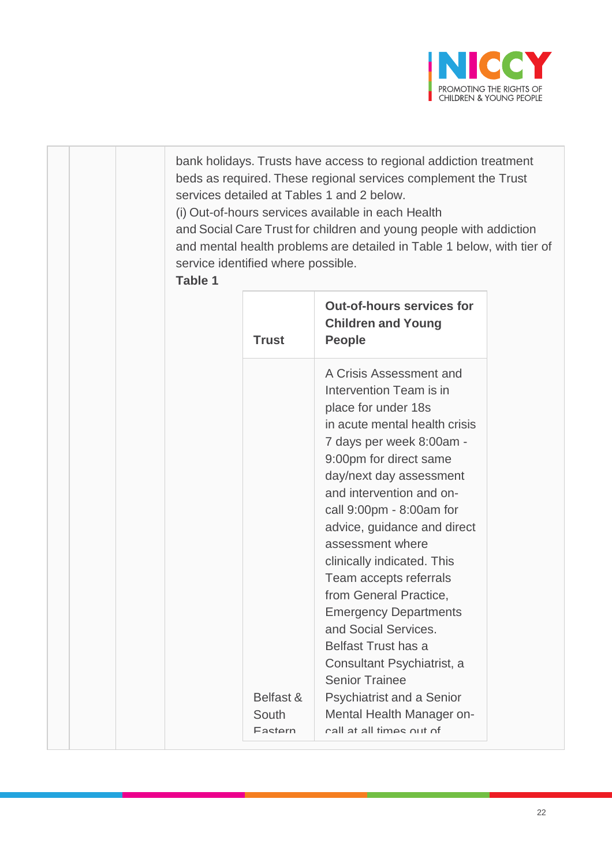

|  | Table 1 | service identified where possible. | bank holidays. Trusts have access to regional addiction treatment<br>beds as required. These regional services complement the Trust<br>services detailed at Tables 1 and 2 below.<br>(i) Out-of-hours services available in each Health<br>and Social Care Trust for children and young people with addiction<br>and mental health problems are detailed in Table 1 below, with tier of                                                                                                                                                                                                                                    |  |
|--|---------|------------------------------------|----------------------------------------------------------------------------------------------------------------------------------------------------------------------------------------------------------------------------------------------------------------------------------------------------------------------------------------------------------------------------------------------------------------------------------------------------------------------------------------------------------------------------------------------------------------------------------------------------------------------------|--|
|  |         | <b>Trust</b>                       | <b>Out-of-hours services for</b><br><b>Children and Young</b><br><b>People</b>                                                                                                                                                                                                                                                                                                                                                                                                                                                                                                                                             |  |
|  |         | Belfast &<br>South<br>Factorn      | A Crisis Assessment and<br>Intervention Team is in<br>place for under 18s<br>in acute mental health crisis<br>7 days per week 8:00am -<br>9:00pm for direct same<br>day/next day assessment<br>and intervention and on-<br>call 9:00pm - 8:00am for<br>advice, guidance and direct<br>assessment where<br>clinically indicated. This<br>Team accepts referrals<br>from General Practice,<br><b>Emergency Departments</b><br>and Social Services.<br>Belfast Trust has a<br>Consultant Psychiatrist, a<br><b>Senior Trainee</b><br><b>Psychiatrist and a Senior</b><br>Mental Health Manager on-<br>oll at all times out of |  |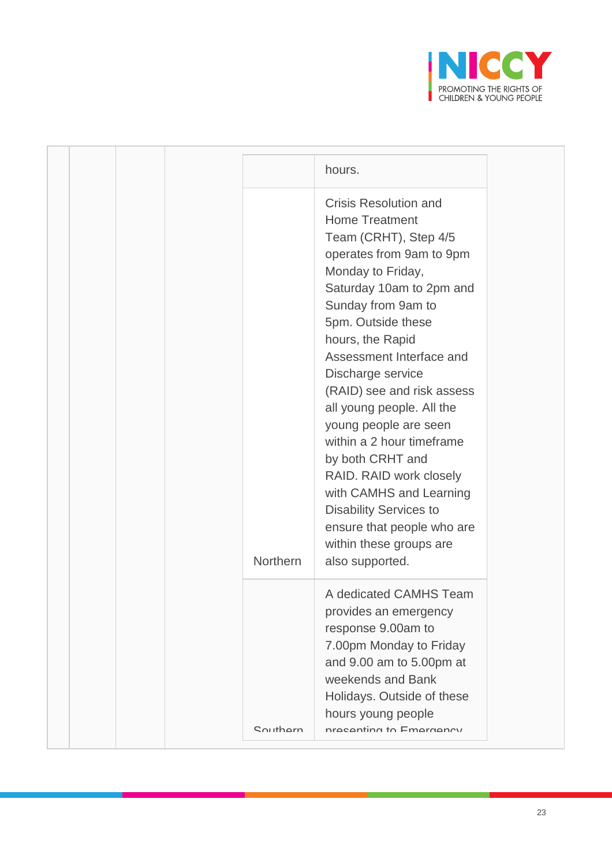

|  | Northern | hours.<br><b>Crisis Resolution and</b><br><b>Home Treatment</b><br>Team (CRHT), Step 4/5<br>operates from 9am to 9pm<br>Monday to Friday,<br>Saturday 10am to 2pm and<br>Sunday from 9am to<br>5pm. Outside these<br>hours, the Rapid<br>Assessment Interface and<br>Discharge service<br>(RAID) see and risk assess<br>all young people. All the<br>young people are seen<br>within a 2 hour timeframe<br>by both CRHT and<br>RAID. RAID work closely<br>with CAMHS and Learning<br><b>Disability Services to</b><br>ensure that people who are<br>within these groups are<br>also supported.<br>A dedicated CAMHS Team<br>provides an emergency |
|--|----------|---------------------------------------------------------------------------------------------------------------------------------------------------------------------------------------------------------------------------------------------------------------------------------------------------------------------------------------------------------------------------------------------------------------------------------------------------------------------------------------------------------------------------------------------------------------------------------------------------------------------------------------------------|
|  |          | response 9.00am to<br>7.00pm Monday to Friday<br>and 9.00 am to 5.00pm at<br>weekends and Bank<br>Holidays. Outside of these                                                                                                                                                                                                                                                                                                                                                                                                                                                                                                                      |
|  | Southern | hours young people<br>nrecenting to Emergency                                                                                                                                                                                                                                                                                                                                                                                                                                                                                                                                                                                                     |

ł.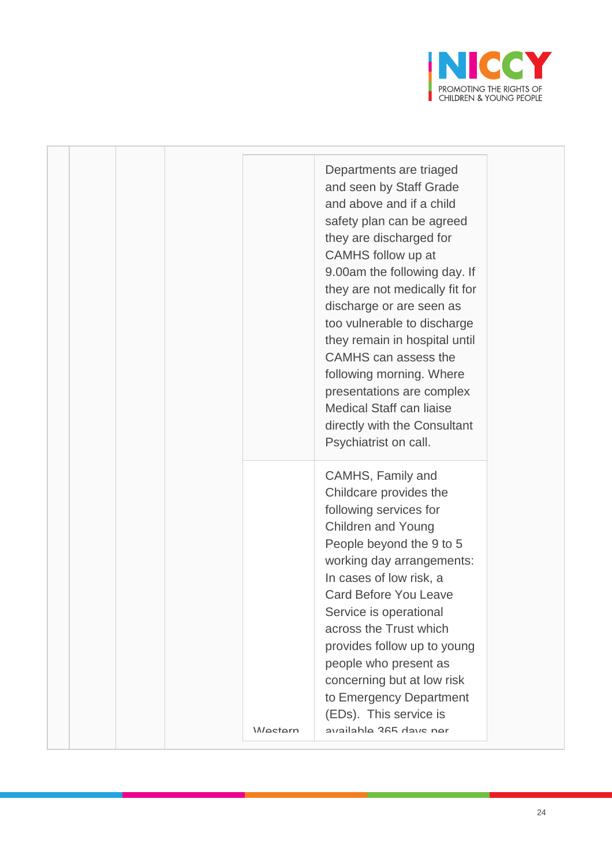

|  |                | Departments are triaged<br>and seen by Staff Grade<br>and above and if a child<br>safety plan can be agreed<br>they are discharged for<br>CAMHS follow up at<br>9.00am the following day. If<br>they are not medically fit for<br>discharge or are seen as<br>too vulnerable to discharge<br>they remain in hospital until<br>CAMHS can assess the<br>following morning. Where<br>presentations are complex<br><b>Medical Staff can liaise</b><br>directly with the Consultant<br>Psychiatrist on call. |  |
|--|----------------|---------------------------------------------------------------------------------------------------------------------------------------------------------------------------------------------------------------------------------------------------------------------------------------------------------------------------------------------------------------------------------------------------------------------------------------------------------------------------------------------------------|--|
|  | <i>Mactarn</i> | CAMHS, Family and<br>Childcare provides the<br>following services for<br><b>Children and Young</b><br>People beyond the 9 to 5<br>working day arrangements:<br>In cases of low risk, a<br><b>Card Before You Leave</b><br>Service is operational<br>across the Trust which<br>provides follow up to young<br>people who present as<br>concerning but at low risk<br>to Emergency Department<br>(EDs). This service is<br>availahla 265 dave nar                                                         |  |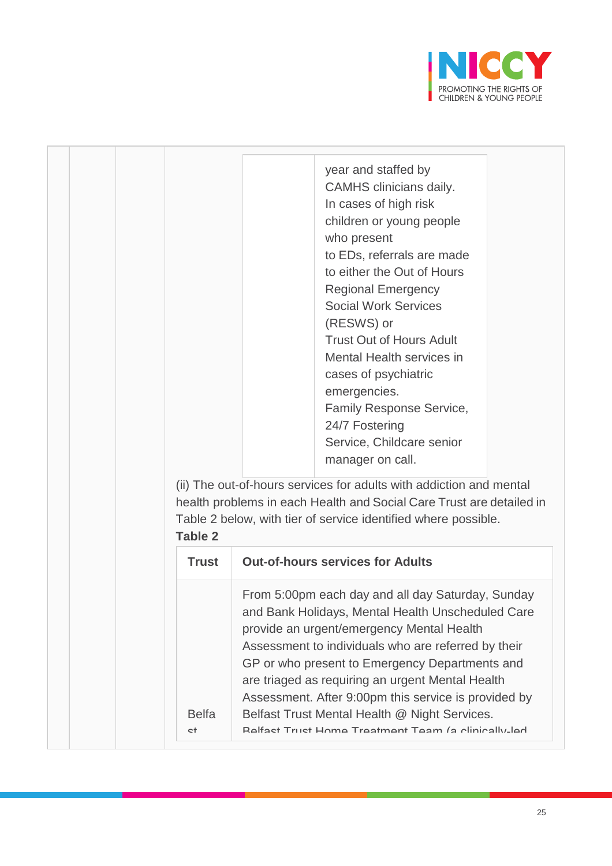

year and staffed by CAMHS clinicians daily. In cases of high risk children or young people who present to EDs, referrals are made to either the Out of Hours Regional Emergency Social Work Services (RESWS) or Trust Out of Hours Adult Mental Health services in cases of psychiatric emergencies. Family Response Service, 24/7 Fostering Service, Childcare senior manager on call. (ii) The out-of-hours services for adults with addiction and mental health problems in each Health and Social Care Trust are detailed in Table 2 below, with tier of service identified where possible. **Table 2 Trust Out-of-hours services for Adults** Belfa  $\sim$ From 5:00pm each day and all day Saturday, Sunday and Bank Holidays, Mental Health Unscheduled Care provide an urgent/emergency Mental Health Assessment to individuals who are referred by their GP or who present to Emergency Departments and are triaged as requiring an urgent Mental Health Assessment. After 9:00pm this service is provided by Belfast Trust Mental Health @ Night Services. Belfast Trust Home Treatment Team (a clinically-led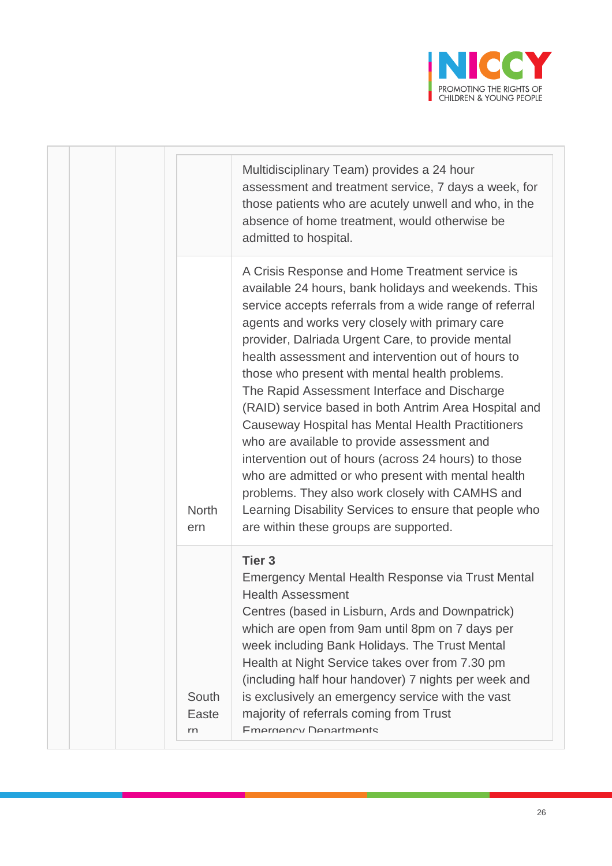

|                      | Multidisciplinary Team) provides a 24 hour                                                                                                                                                                                                                                                                                                                                                                                                                                                                                                                                                                                                                                                                                                                                                                                                                           |
|----------------------|----------------------------------------------------------------------------------------------------------------------------------------------------------------------------------------------------------------------------------------------------------------------------------------------------------------------------------------------------------------------------------------------------------------------------------------------------------------------------------------------------------------------------------------------------------------------------------------------------------------------------------------------------------------------------------------------------------------------------------------------------------------------------------------------------------------------------------------------------------------------|
|                      | assessment and treatment service, 7 days a week, for<br>those patients who are acutely unwell and who, in the<br>absence of home treatment, would otherwise be<br>admitted to hospital.                                                                                                                                                                                                                                                                                                                                                                                                                                                                                                                                                                                                                                                                              |
| <b>North</b><br>ern  | A Crisis Response and Home Treatment service is<br>available 24 hours, bank holidays and weekends. This<br>service accepts referrals from a wide range of referral<br>agents and works very closely with primary care<br>provider, Dalriada Urgent Care, to provide mental<br>health assessment and intervention out of hours to<br>those who present with mental health problems.<br>The Rapid Assessment Interface and Discharge<br>(RAID) service based in both Antrim Area Hospital and<br>Causeway Hospital has Mental Health Practitioners<br>who are available to provide assessment and<br>intervention out of hours (across 24 hours) to those<br>who are admitted or who present with mental health<br>problems. They also work closely with CAMHS and<br>Learning Disability Services to ensure that people who<br>are within these groups are supported. |
| South<br>Easte<br>rn | <b>Tier 3</b><br>Emergency Mental Health Response via Trust Mental<br><b>Health Assessment</b><br>Centres (based in Lisburn, Ards and Downpatrick)<br>which are open from 9am until 8pm on 7 days per<br>week including Bank Holidays. The Trust Mental<br>Health at Night Service takes over from 7.30 pm<br>(including half hour handover) 7 nights per week and<br>is exclusively an emergency service with the vast<br>majority of referrals coming from Trust<br>Emergency Departments                                                                                                                                                                                                                                                                                                                                                                          |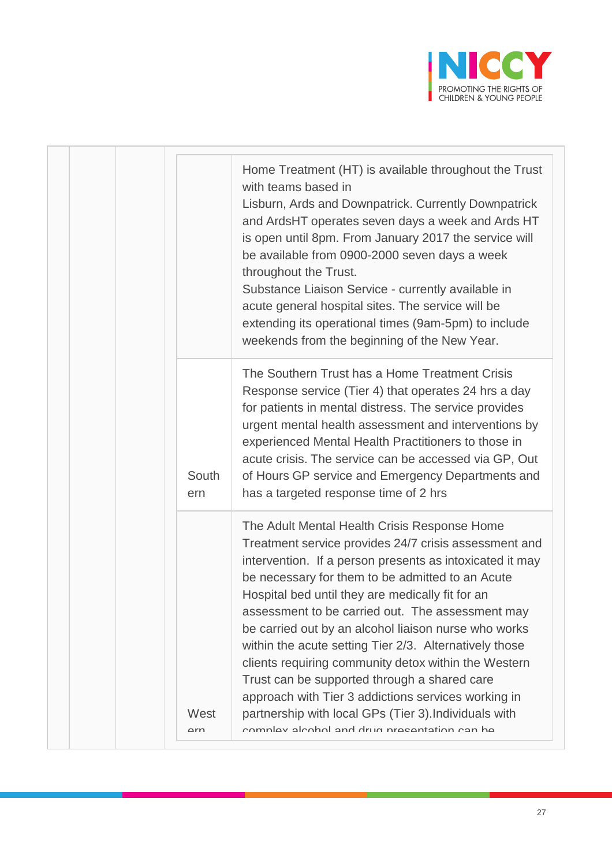

|              | Home Treatment (HT) is available throughout the Trust<br>with teams based in<br>Lisburn, Ards and Downpatrick. Currently Downpatrick<br>and ArdsHT operates seven days a week and Ards HT<br>is open until 8pm. From January 2017 the service will<br>be available from 0900-2000 seven days a week<br>throughout the Trust.<br>Substance Liaison Service - currently available in<br>acute general hospital sites. The service will be<br>extending its operational times (9am-5pm) to include<br>weekends from the beginning of the New Year.                                                                                                                                                                          |
|--------------|--------------------------------------------------------------------------------------------------------------------------------------------------------------------------------------------------------------------------------------------------------------------------------------------------------------------------------------------------------------------------------------------------------------------------------------------------------------------------------------------------------------------------------------------------------------------------------------------------------------------------------------------------------------------------------------------------------------------------|
| South<br>ern | The Southern Trust has a Home Treatment Crisis<br>Response service (Tier 4) that operates 24 hrs a day<br>for patients in mental distress. The service provides<br>urgent mental health assessment and interventions by<br>experienced Mental Health Practitioners to those in<br>acute crisis. The service can be accessed via GP, Out<br>of Hours GP service and Emergency Departments and<br>has a targeted response time of 2 hrs                                                                                                                                                                                                                                                                                    |
| West<br>∆rn  | The Adult Mental Health Crisis Response Home<br>Treatment service provides 24/7 crisis assessment and<br>intervention. If a person presents as intoxicated it may<br>be necessary for them to be admitted to an Acute<br>Hospital bed until they are medically fit for an<br>assessment to be carried out. The assessment may<br>be carried out by an alcohol liaison nurse who works<br>within the acute setting Tier 2/3. Alternatively those<br>clients requiring community detox within the Western<br>Trust can be supported through a shared care<br>approach with Tier 3 addictions services working in<br>partnership with local GPs (Tier 3). Individuals with<br>ed nen noitetresearn nunh har ladanle valaman |

ł.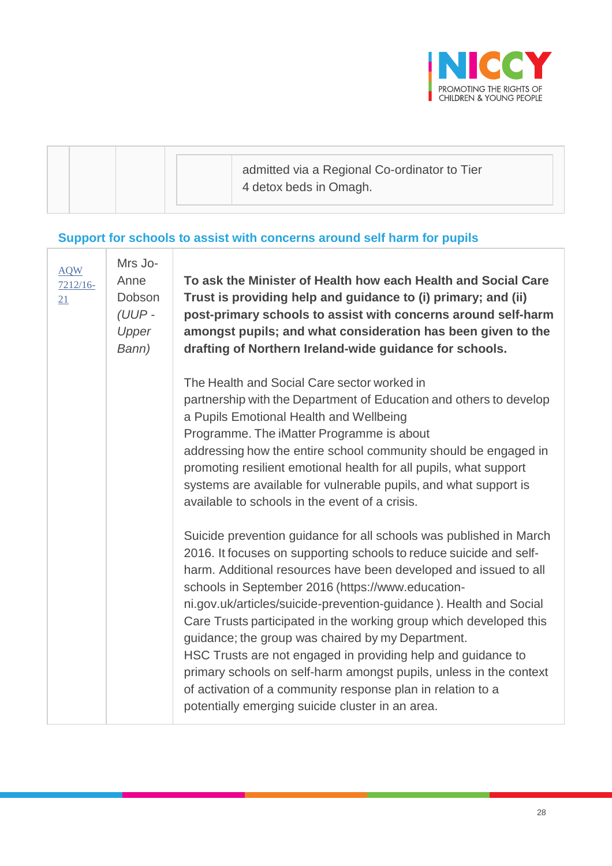

| admitted via a Regional Co-ordinator to Tier<br>4 detox beds in Omagh. |
|------------------------------------------------------------------------|
|                                                                        |

## **Support for schools to assist with concerns around self harm for pupils**

Î.

 $\overline{1}$ 

| <b>AQW</b><br>$7212/16-$<br>21 | Mrs Jo-<br>Anne<br>Dobson<br>(UUP-<br>Upper<br>Bann) | To ask the Minister of Health how each Health and Social Care<br>Trust is providing help and guidance to (i) primary; and (ii)<br>post-primary schools to assist with concerns around self-harm<br>amongst pupils; and what consideration has been given to the<br>drafting of Northern Ireland-wide guidance for schools.                                                                                                                                                                                                                                                                                                                                                                                                  |
|--------------------------------|------------------------------------------------------|-----------------------------------------------------------------------------------------------------------------------------------------------------------------------------------------------------------------------------------------------------------------------------------------------------------------------------------------------------------------------------------------------------------------------------------------------------------------------------------------------------------------------------------------------------------------------------------------------------------------------------------------------------------------------------------------------------------------------------|
|                                |                                                      | The Health and Social Care sector worked in<br>partnership with the Department of Education and others to develop<br>a Pupils Emotional Health and Wellbeing<br>Programme. The iMatter Programme is about<br>addressing how the entire school community should be engaged in<br>promoting resilient emotional health for all pupils, what support<br>systems are available for vulnerable pupils, and what support is<br>available to schools in the event of a crisis.                                                                                                                                                                                                                                                     |
|                                |                                                      | Suicide prevention guidance for all schools was published in March<br>2016. It focuses on supporting schools to reduce suicide and self-<br>harm. Additional resources have been developed and issued to all<br>schools in September 2016 (https://www.education-<br>ni.gov.uk/articles/suicide-prevention-guidance). Health and Social<br>Care Trusts participated in the working group which developed this<br>guidance; the group was chaired by my Department.<br>HSC Trusts are not engaged in providing help and guidance to<br>primary schools on self-harm amongst pupils, unless in the context<br>of activation of a community response plan in relation to a<br>potentially emerging suicide cluster in an area. |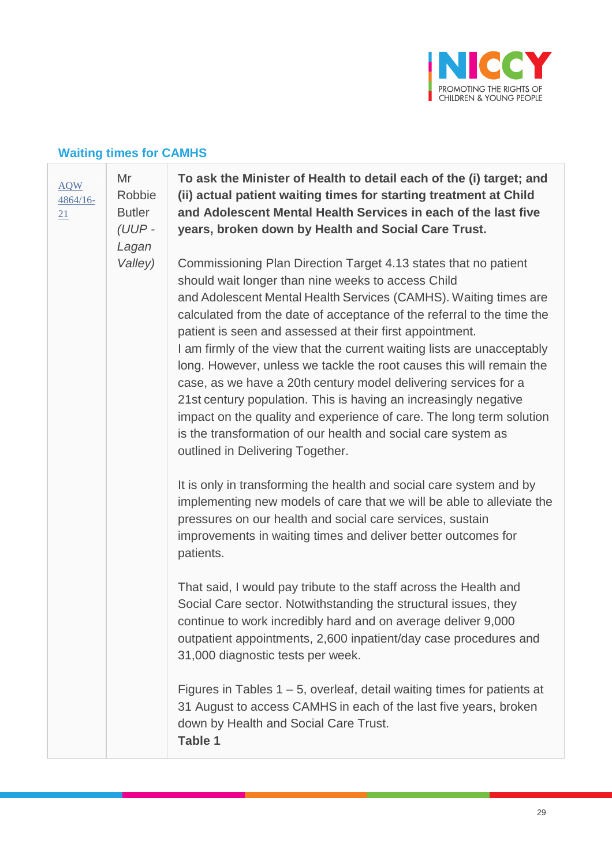

## **Waiting times for CAMHS**

| <b>AQW</b><br>4864/16-<br>21 | Mr<br>Robbie<br><b>Butler</b><br>(UUP-<br>Lagan | To ask the Minister of Health to detail each of the (i) target; and<br>(ii) actual patient waiting times for starting treatment at Child<br>and Adolescent Mental Health Services in each of the last five<br>years, broken down by Health and Social Care Trust.                                                                                                                                                                                                                                                                                                                                                                                                                                                                                                                                      |
|------------------------------|-------------------------------------------------|--------------------------------------------------------------------------------------------------------------------------------------------------------------------------------------------------------------------------------------------------------------------------------------------------------------------------------------------------------------------------------------------------------------------------------------------------------------------------------------------------------------------------------------------------------------------------------------------------------------------------------------------------------------------------------------------------------------------------------------------------------------------------------------------------------|
|                              | Valley)                                         | Commissioning Plan Direction Target 4.13 states that no patient<br>should wait longer than nine weeks to access Child<br>and Adolescent Mental Health Services (CAMHS). Waiting times are<br>calculated from the date of acceptance of the referral to the time the<br>patient is seen and assessed at their first appointment.<br>I am firmly of the view that the current waiting lists are unacceptably<br>long. However, unless we tackle the root causes this will remain the<br>case, as we have a 20th century model delivering services for a<br>21st century population. This is having an increasingly negative<br>impact on the quality and experience of care. The long term solution<br>is the transformation of our health and social care system as<br>outlined in Delivering Together. |
|                              |                                                 | It is only in transforming the health and social care system and by<br>implementing new models of care that we will be able to alleviate the<br>pressures on our health and social care services, sustain<br>improvements in waiting times and deliver better outcomes for<br>patients.                                                                                                                                                                                                                                                                                                                                                                                                                                                                                                                |
|                              |                                                 | That said, I would pay tribute to the staff across the Health and<br>Social Care sector. Notwithstanding the structural issues, they<br>continue to work incredibly hard and on average deliver 9,000<br>outpatient appointments, 2,600 inpatient/day case procedures and<br>31,000 diagnostic tests per week.                                                                                                                                                                                                                                                                                                                                                                                                                                                                                         |
|                              |                                                 | Figures in Tables $1 - 5$ , overleaf, detail waiting times for patients at<br>31 August to access CAMHS in each of the last five years, broken<br>down by Health and Social Care Trust.<br><b>Table 1</b>                                                                                                                                                                                                                                                                                                                                                                                                                                                                                                                                                                                              |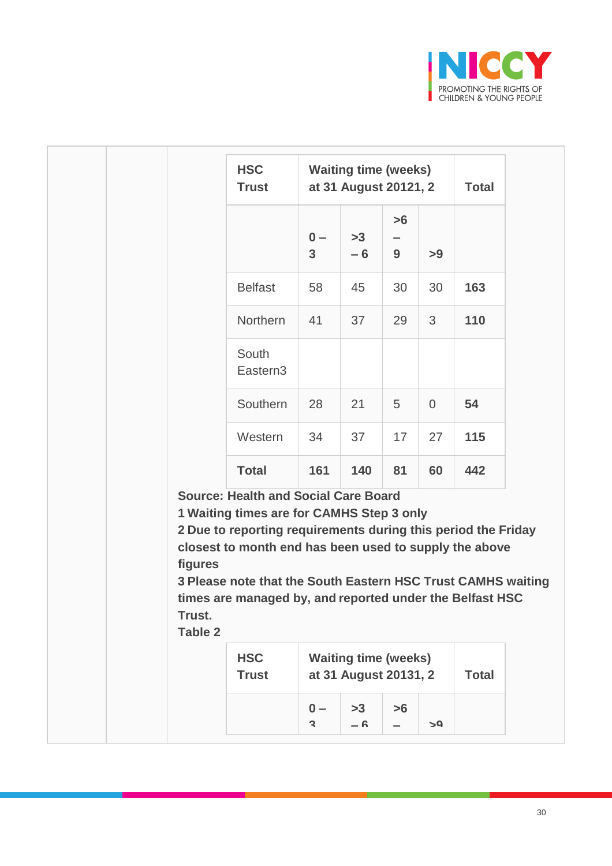

|                                     | <b>HSC</b><br><b>Trust</b>                                                                                                                                                                                                                                                                                                                      | <b>Waiting time (weeks)</b><br>at 31 August 20121, 2 |                                                      |         |                | <b>Total</b> |
|-------------------------------------|-------------------------------------------------------------------------------------------------------------------------------------------------------------------------------------------------------------------------------------------------------------------------------------------------------------------------------------------------|------------------------------------------------------|------------------------------------------------------|---------|----------------|--------------|
|                                     |                                                                                                                                                                                                                                                                                                                                                 | $0 -$<br>$\overline{3}$                              | >3<br>$-6$                                           | >6<br>9 | >9             |              |
|                                     | <b>Belfast</b>                                                                                                                                                                                                                                                                                                                                  | 58                                                   | 45                                                   | 30      | 30             | 163          |
|                                     | Northern                                                                                                                                                                                                                                                                                                                                        | 41                                                   | 37                                                   | 29      | 3              | 110          |
|                                     | South<br>Eastern <sub>3</sub>                                                                                                                                                                                                                                                                                                                   |                                                      |                                                      |         |                |              |
|                                     | Southern                                                                                                                                                                                                                                                                                                                                        | 28                                                   | 21                                                   | 5       | $\overline{0}$ | 54           |
|                                     | Western                                                                                                                                                                                                                                                                                                                                         | 34                                                   | 37                                                   | 17      | 27             | 115          |
|                                     | <b>Total</b>                                                                                                                                                                                                                                                                                                                                    | 161                                                  | 140                                                  | 81      | 60             | 442          |
| figures<br>Trust.<br><b>Table 2</b> | <b>Source: Health and Social Care Board</b><br>1 Waiting times are for CAMHS Step 3 only<br>2 Due to reporting requirements during this period the Friday<br>closest to month end has been used to supply the above<br>3 Please note that the South Eastern HSC Trust CAMHS waiting<br>times are managed by, and reported under the Belfast HSC |                                                      |                                                      |         |                |              |
|                                     | <b>HSC</b><br><b>Trust</b>                                                                                                                                                                                                                                                                                                                      |                                                      | <b>Waiting time (weeks)</b><br>at 31 August 20131, 2 |         |                | <b>Total</b> |
|                                     |                                                                                                                                                                                                                                                                                                                                                 | $0 -$<br>$\mathbf{z}$                                | >3<br>$ \kappa$                                      | >6      | $\mathbf{a}$   |              |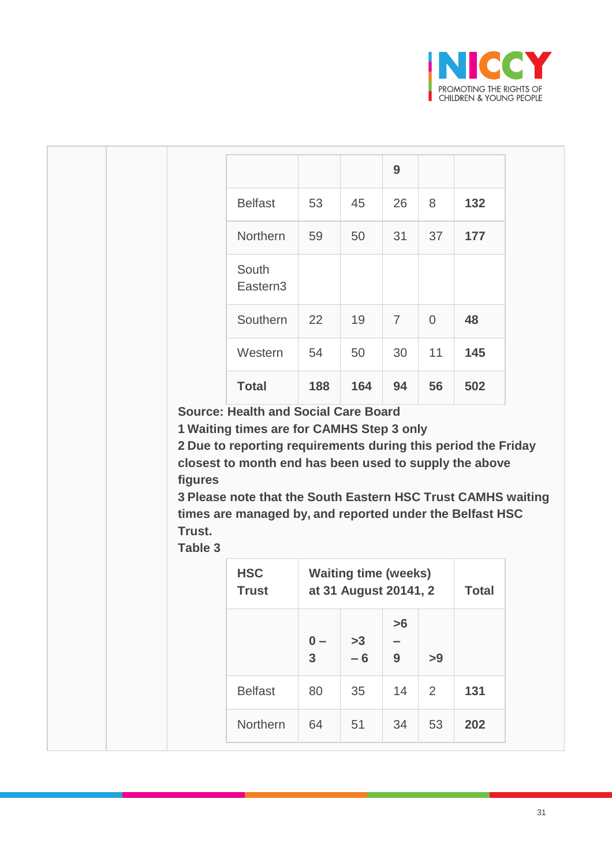

|                   |                                                                                                                                                                                                                     |                       |                                                      | 9              |                |              |
|-------------------|---------------------------------------------------------------------------------------------------------------------------------------------------------------------------------------------------------------------|-----------------------|------------------------------------------------------|----------------|----------------|--------------|
|                   | <b>Belfast</b>                                                                                                                                                                                                      | 53                    | 45                                                   | 26             | 8              | 132          |
|                   | Northern                                                                                                                                                                                                            | 59                    | 50                                                   | 31             | 37             | 177          |
|                   | South<br>Eastern <sub>3</sub>                                                                                                                                                                                       |                       |                                                      |                |                |              |
|                   | Southern                                                                                                                                                                                                            | 22                    | 19                                                   | $\overline{7}$ | $\Omega$       | 48           |
|                   | Western                                                                                                                                                                                                             | 54                    | 50                                                   | 30             | 11             | 145          |
|                   | <b>Total</b>                                                                                                                                                                                                        | 188                   | 164                                                  | 94             | 56             | 502          |
| figures           | <b>Source: Health and Social Care Board</b><br>1 Waiting times are for CAMHS Step 3 only<br>2 Due to reporting requirements during this period the Friday<br>closest to month end has been used to supply the above |                       |                                                      |                |                |              |
|                   | 3 Please note that the South Eastern HSC Trust CAMHS waiting<br>times are managed by, and reported under the Belfast HSC                                                                                            |                       |                                                      |                |                |              |
|                   | <b>HSC</b><br><b>Trust</b>                                                                                                                                                                                          |                       | <b>Waiting time (weeks)</b><br>at 31 August 20141, 2 |                |                | <b>Total</b> |
|                   |                                                                                                                                                                                                                     | $0 -$<br>$\mathbf{3}$ | >3<br>$-6$                                           | >6<br>9        | >9             |              |
| Trust.<br>Table 3 | <b>Belfast</b>                                                                                                                                                                                                      | 80                    | 35                                                   | 14             | $\overline{2}$ | 131          |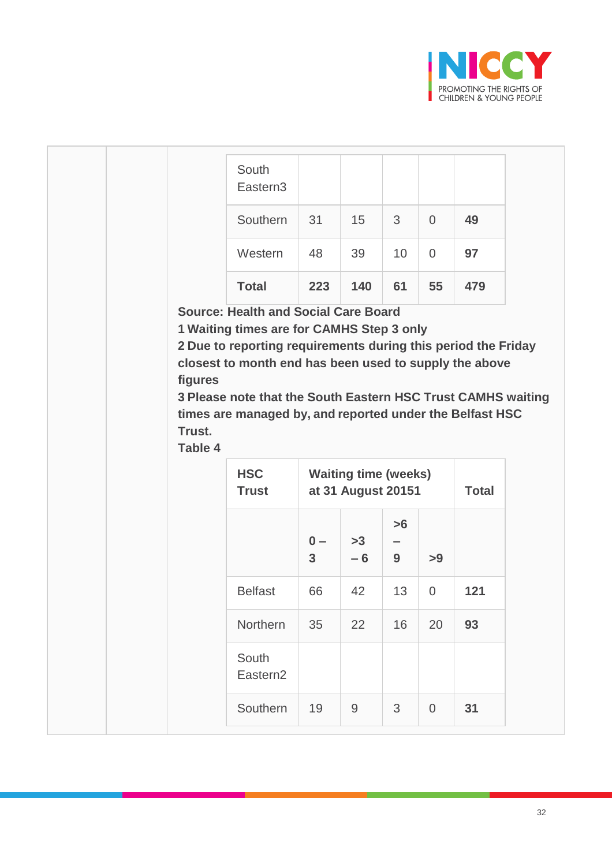

|                          | South<br>Eastern <sub>3</sub>                                          |                         |                             |                   |                |              |
|--------------------------|------------------------------------------------------------------------|-------------------------|-----------------------------|-------------------|----------------|--------------|
|                          | Southern                                                               | 31                      | 15                          | 3                 | $\overline{0}$ | 49           |
|                          | Western                                                                | 48                      | 39                          | 10                | $\Omega$       | 97           |
|                          | <b>Total</b>                                                           | 223                     | 140                         | 61                | 55             | 479          |
|                          | 3 Please note that the South Eastern HSC Trust CAMHS waiting           |                         |                             |                   |                |              |
| Trust.<br><b>Table 4</b> | times are managed by, and reported under the Belfast HSC<br><b>HSC</b> |                         | <b>Waiting time (weeks)</b> |                   |                |              |
|                          | <b>Trust</b>                                                           |                         | at 31 August 20151          |                   |                | <b>Total</b> |
|                          |                                                                        | $0 -$<br>$\overline{3}$ | >3<br>$-6$                  | >6<br>$9^{\circ}$ | >9             |              |
|                          | <b>Belfast</b>                                                         | 66                      | 42                          | 13                | $\overline{0}$ | 121          |
|                          | Northern                                                               | 35                      | 22                          | 16                | 20             | 93           |
|                          | South<br>Eastern <sub>2</sub>                                          |                         |                             |                   |                |              |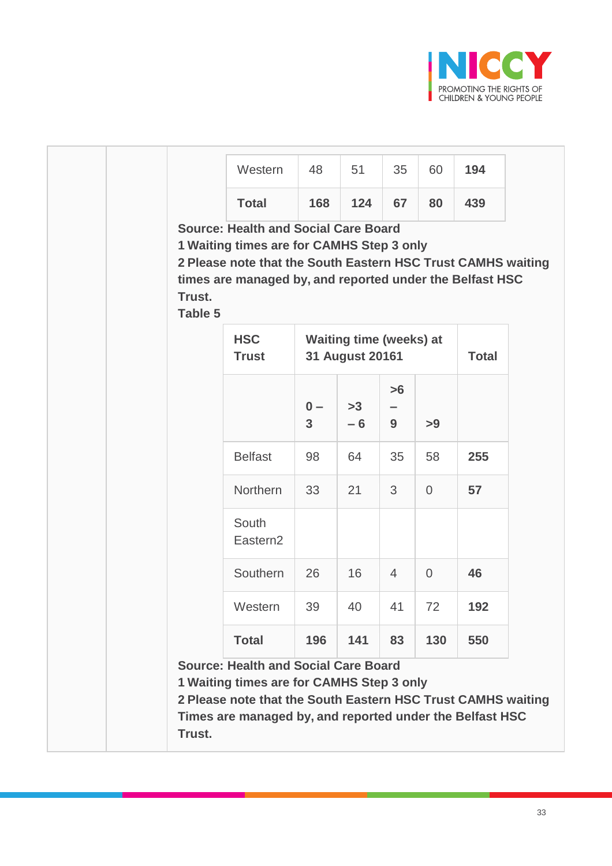

|                          | Western                                                                                                                                                                                                              | 48                    | 51                                                | 35             | 60             | 194          |
|--------------------------|----------------------------------------------------------------------------------------------------------------------------------------------------------------------------------------------------------------------|-----------------------|---------------------------------------------------|----------------|----------------|--------------|
|                          | <b>Total</b>                                                                                                                                                                                                         | 168                   | 124                                               | 67             | 80             | 439          |
| Trust.<br><b>Table 5</b> | <b>Source: Health and Social Care Board</b><br>1 Waiting times are for CAMHS Step 3 only<br>2 Please note that the South Eastern HSC Trust CAMHS waiting<br>times are managed by, and reported under the Belfast HSC |                       |                                                   |                |                |              |
|                          | <b>HSC</b><br><b>Trust</b>                                                                                                                                                                                           |                       | <b>Waiting time (weeks) at</b><br>31 August 20161 |                |                | <b>Total</b> |
|                          |                                                                                                                                                                                                                      | $0 -$<br>$\mathbf{3}$ | >3<br>$-6$                                        | >6<br>9        | >9             |              |
|                          | <b>Belfast</b>                                                                                                                                                                                                       | 98                    | 64                                                | 35             | 58             | 255          |
|                          | Northern                                                                                                                                                                                                             | 33                    | 21                                                | 3              | $\overline{0}$ | 57           |
|                          | South<br>Eastern <sub>2</sub>                                                                                                                                                                                        |                       |                                                   |                |                |              |
|                          | Southern                                                                                                                                                                                                             | 26                    | 16                                                | $\overline{4}$ | $\overline{0}$ | 46           |
|                          | Western                                                                                                                                                                                                              | 39                    | 40                                                | 41             | 72             | 192          |
|                          | <b>Total</b>                                                                                                                                                                                                         | 196                   | 141                                               | 83             | 130            | 550          |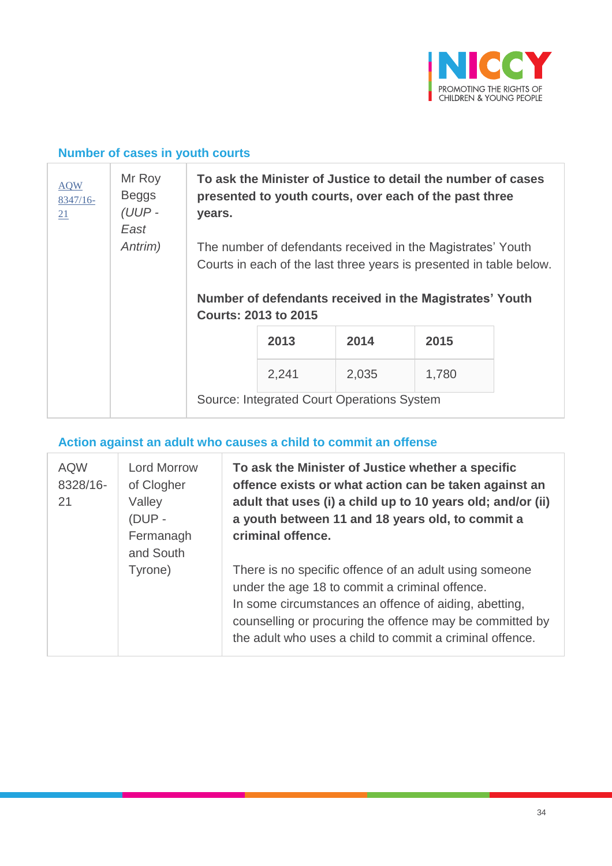

### **Number of cases in youth courts**

| <b>AQW</b><br>8347/16-<br>21 | Mr Roy<br><b>Beggs</b><br>(UUP-<br>East<br>Antrim) | years. | <b>Courts: 2013 to 2015</b>                |       | To ask the Minister of Justice to detail the number of cases<br>presented to youth courts, over each of the past three<br>The number of defendants received in the Magistrates' Youth<br>Courts in each of the last three years is presented in table below.<br>Number of defendants received in the Magistrates' Youth |  |
|------------------------------|----------------------------------------------------|--------|--------------------------------------------|-------|-------------------------------------------------------------------------------------------------------------------------------------------------------------------------------------------------------------------------------------------------------------------------------------------------------------------------|--|
|                              |                                                    |        | 2013                                       | 2014  | 2015                                                                                                                                                                                                                                                                                                                    |  |
|                              |                                                    |        | 2,241                                      | 2,035 | 1,780                                                                                                                                                                                                                                                                                                                   |  |
|                              |                                                    |        | Source: Integrated Court Operations System |       |                                                                                                                                                                                                                                                                                                                         |  |

### **Action against an adult who causes a child to commit an offense**

| <b>AQW</b><br>8328/16-<br>21 | <b>Lord Morrow</b><br>of Clogher<br>Valley<br>(DUP -<br>Fermanagh<br>and South | To ask the Minister of Justice whether a specific<br>offence exists or what action can be taken against an<br>adult that uses (i) a child up to 10 years old; and/or (ii)<br>a youth between 11 and 18 years old, to commit a<br>criminal offence.                                        |
|------------------------------|--------------------------------------------------------------------------------|-------------------------------------------------------------------------------------------------------------------------------------------------------------------------------------------------------------------------------------------------------------------------------------------|
|                              | Tyrone)                                                                        | There is no specific offence of an adult using someone<br>under the age 18 to commit a criminal offence.<br>In some circumstances an offence of aiding, abetting,<br>counselling or procuring the offence may be committed by<br>the adult who uses a child to commit a criminal offence. |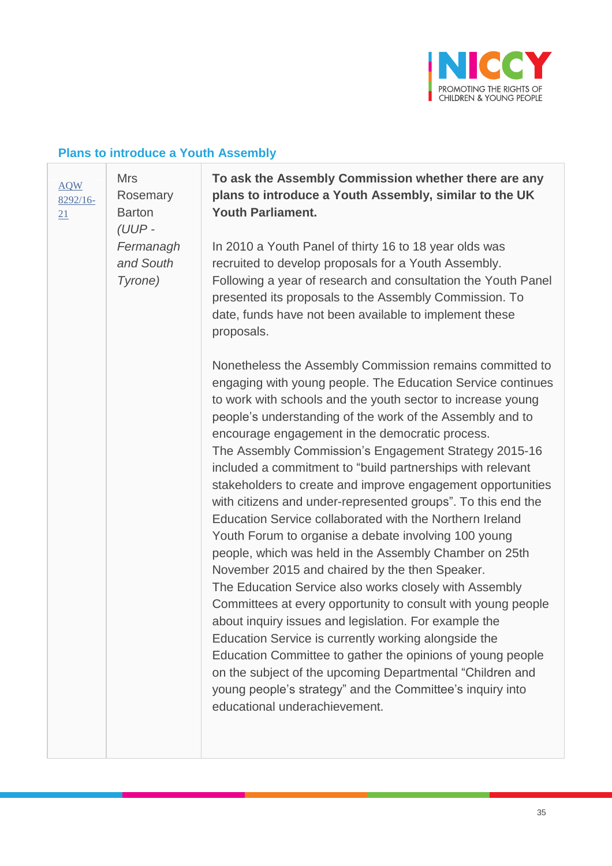

# **Plans to introduce a Youth Assembly**

| <b>AQW</b><br>8292/16-<br>21 | <b>Mrs</b><br>Rosemary<br><b>Barton</b><br>(UUP- | To ask the Assembly Commission whether there are any<br>plans to introduce a Youth Assembly, similar to the UK<br><b>Youth Parliament.</b>                                                                                                                                                                                                                                                                                                                                                                                                                                                                                                                                                                                                                                                                                                                                                                                                                                                                                                                                                                                                                                                                                                                       |
|------------------------------|--------------------------------------------------|------------------------------------------------------------------------------------------------------------------------------------------------------------------------------------------------------------------------------------------------------------------------------------------------------------------------------------------------------------------------------------------------------------------------------------------------------------------------------------------------------------------------------------------------------------------------------------------------------------------------------------------------------------------------------------------------------------------------------------------------------------------------------------------------------------------------------------------------------------------------------------------------------------------------------------------------------------------------------------------------------------------------------------------------------------------------------------------------------------------------------------------------------------------------------------------------------------------------------------------------------------------|
|                              | Fermanagh<br>and South<br>Tyrone)                | In 2010 a Youth Panel of thirty 16 to 18 year olds was<br>recruited to develop proposals for a Youth Assembly.<br>Following a year of research and consultation the Youth Panel<br>presented its proposals to the Assembly Commission. To<br>date, funds have not been available to implement these<br>proposals.                                                                                                                                                                                                                                                                                                                                                                                                                                                                                                                                                                                                                                                                                                                                                                                                                                                                                                                                                |
|                              |                                                  | Nonetheless the Assembly Commission remains committed to<br>engaging with young people. The Education Service continues<br>to work with schools and the youth sector to increase young<br>people's understanding of the work of the Assembly and to<br>encourage engagement in the democratic process.<br>The Assembly Commission's Engagement Strategy 2015-16<br>included a commitment to "build partnerships with relevant<br>stakeholders to create and improve engagement opportunities<br>with citizens and under-represented groups". To this end the<br>Education Service collaborated with the Northern Ireland<br>Youth Forum to organise a debate involving 100 young<br>people, which was held in the Assembly Chamber on 25th<br>November 2015 and chaired by the then Speaker.<br>The Education Service also works closely with Assembly<br>Committees at every opportunity to consult with young people<br>about inquiry issues and legislation. For example the<br>Education Service is currently working alongside the<br>Education Committee to gather the opinions of young people<br>on the subject of the upcoming Departmental "Children and<br>young people's strategy" and the Committee's inquiry into<br>educational underachievement. |